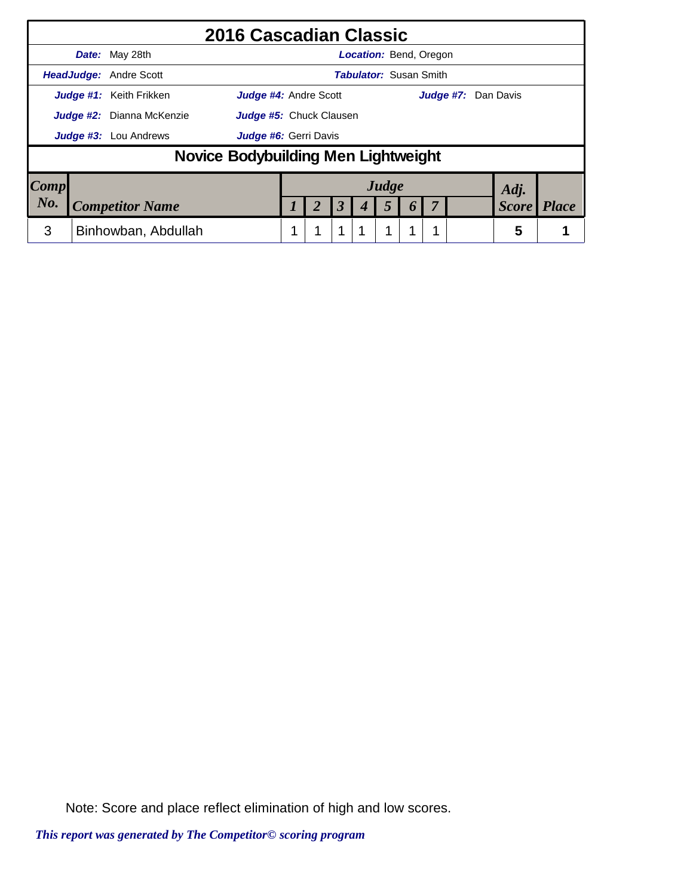|      |                                  | 2016 Cascadian Classic                                |                         |  |                      |                               |                  |  |                     |              |
|------|----------------------------------|-------------------------------------------------------|-------------------------|--|----------------------|-------------------------------|------------------|--|---------------------|--------------|
|      |                                  | <b>Date:</b> May 28th                                 |                         |  |                      | Location: Bend, Oregon        |                  |  |                     |              |
|      |                                  | <b>HeadJudge: Andre Scott</b>                         |                         |  |                      | <b>Tabulator:</b> Susan Smith |                  |  |                     |              |
|      |                                  | Judge #1: Keith Frikken<br>Judge #4: Andre Scott      |                         |  |                      |                               |                  |  | Judge #7: Dan Davis |              |
|      | <b>Judge #2:</b> Dianna McKenzie |                                                       | Judge #5: Chuck Clausen |  |                      |                               |                  |  |                     |              |
|      |                                  | <b>Judge #3:</b> Lou Andrews<br>Judge #6: Gerri Davis |                         |  |                      |                               |                  |  |                     |              |
|      |                                  | Novice Bodybuilding Men Lightweight                   |                         |  |                      |                               |                  |  |                     |              |
| Comp |                                  |                                                       |                         |  |                      | Judge                         |                  |  | Adj.                |              |
| No.  |                                  | <b>Competitor Name</b>                                |                         |  | $\boldsymbol{\beta}$ | 5                             | $\boldsymbol{0}$ |  | <b>Score</b>        | <b>Place</b> |
| 3    |                                  | Binhowban, Abdullah                                   |                         |  | 1                    | 1                             |                  |  | 5                   |              |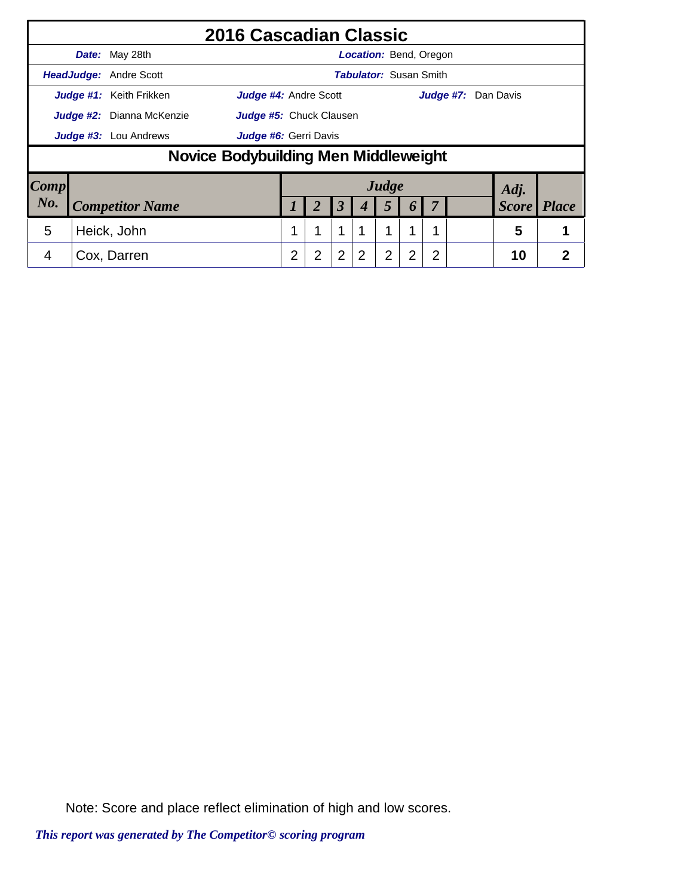|                     |                                  |                               | 2016 Cascadian Classic               |                |                         |                      |                               |       |                  |   |                     |              |              |
|---------------------|----------------------------------|-------------------------------|--------------------------------------|----------------|-------------------------|----------------------|-------------------------------|-------|------------------|---|---------------------|--------------|--------------|
|                     |                                  | Date: May 28th                |                                      |                |                         |                      | <b>Location: Bend, Oregon</b> |       |                  |   |                     |              |              |
|                     |                                  | <b>HeadJudge:</b> Andre Scott |                                      |                |                         |                      | <b>Tabulator: Susan Smith</b> |       |                  |   |                     |              |              |
|                     |                                  | Judge #1: Keith Frikken       | <b>Judge #4: Andre Scott</b>         |                |                         |                      |                               |       |                  |   | Judge #7: Dan Davis |              |              |
|                     | <b>Judge #2:</b> Dianna McKenzie |                               |                                      |                | Judge #5: Chuck Clausen |                      |                               |       |                  |   |                     |              |              |
|                     | <b>Judge #3:</b> Lou Andrews     |                               |                                      |                | Judge #6: Gerri Davis   |                      |                               |       |                  |   |                     |              |              |
|                     |                                  |                               | Novice Bodybuilding Men Middleweight |                |                         |                      |                               |       |                  |   |                     |              |              |
| $\boldsymbol{Comp}$ |                                  |                               |                                      |                |                         |                      |                               | Judge |                  |   |                     | Adj.         |              |
| No.                 |                                  | <b>Competitor Name</b>        |                                      |                | 2                       | $\boldsymbol{\beta}$ |                               | 5     | $\boldsymbol{0}$ |   |                     | <b>Score</b> | <b>Place</b> |
| 5                   |                                  | Heick, John                   |                                      |                | 1                       | 1                    |                               | 1     | 4                |   |                     | 5            |              |
| 4                   |                                  | Cox, Darren                   |                                      | $\overline{2}$ | 2                       | $\overline{2}$       | 2                             | 2     | 2                | 2 |                     | 10           | 2            |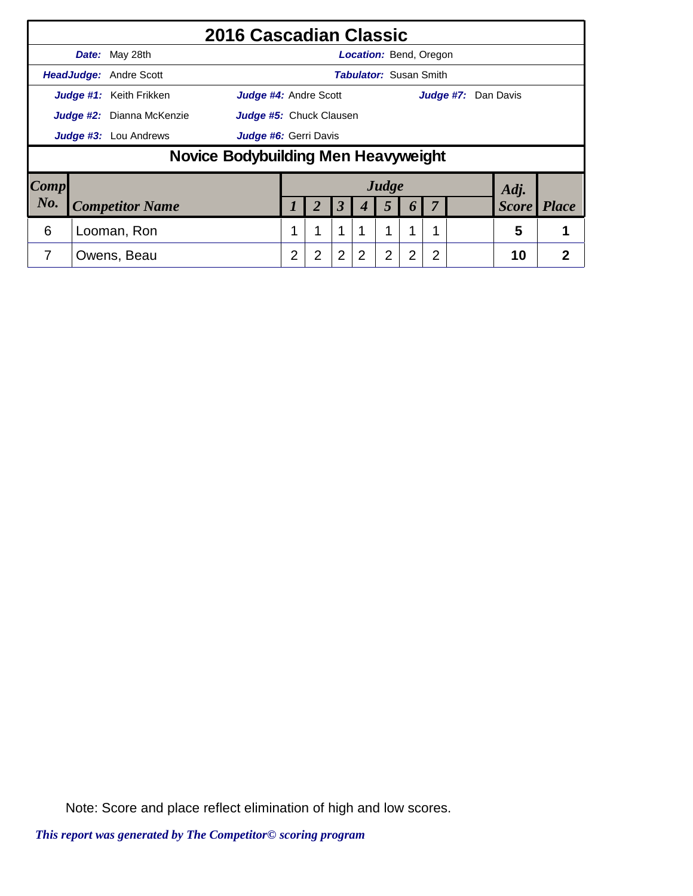|                        |                                  |                               | 2016 Cascadian Classic              |   |                                |                      |                               |                |                       |   |  |                     |              |
|------------------------|----------------------------------|-------------------------------|-------------------------------------|---|--------------------------------|----------------------|-------------------------------|----------------|-----------------------|---|--|---------------------|--------------|
|                        |                                  | Date: May 28th                |                                     |   |                                |                      | <b>Location: Bend, Oregon</b> |                |                       |   |  |                     |              |
|                        |                                  | <b>HeadJudge:</b> Andre Scott |                                     |   |                                |                      | <b>Tabulator: Susan Smith</b> |                |                       |   |  |                     |              |
|                        |                                  | Judge #1: Keith Frikken       | Judge #4: Andre Scott               |   |                                |                      |                               |                |                       |   |  | Judge #7: Dan Davis |              |
|                        | <b>Judge #2:</b> Dianna McKenzie |                               |                                     |   | <b>Judge #5:</b> Chuck Clausen |                      |                               |                |                       |   |  |                     |              |
|                        | Judge #3: Lou Andrews            |                               |                                     |   | Judge #6: Gerri Davis          |                      |                               |                |                       |   |  |                     |              |
|                        |                                  |                               | Novice Bodybuilding Men Heavyweight |   |                                |                      |                               |                |                       |   |  |                     |              |
| $\lfloor Comp \rfloor$ |                                  |                               |                                     |   |                                |                      |                               | Judge          |                       |   |  | Adj.                |              |
| No.                    |                                  | <b>Competitor Name</b>        |                                     |   |                                | $\boldsymbol{\beta}$ |                               | 5              | $\boldsymbol{\theta}$ |   |  | <b>Score</b>        | <b>Place</b> |
| 6                      |                                  | Looman, Ron                   |                                     | 1 |                                | 1                    |                               | 1              | 1                     |   |  | 5                   |              |
|                        |                                  | Owens, Beau                   |                                     | 2 | $\overline{2}$                 | $\overline{2}$       | $\overline{2}$                | $\overline{2}$ | $\overline{2}$        | 2 |  | 10                  | 2            |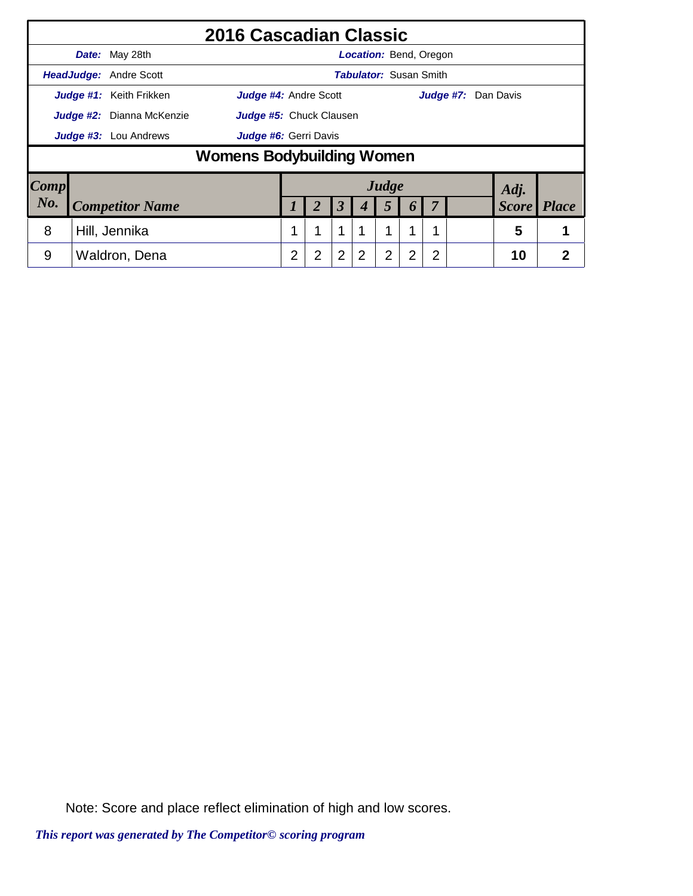|                        |                           |                               | 2016 Cascadian Classic           |                |                         |                      |                               |       |                       |   |                     |              |                |
|------------------------|---------------------------|-------------------------------|----------------------------------|----------------|-------------------------|----------------------|-------------------------------|-------|-----------------------|---|---------------------|--------------|----------------|
|                        |                           | <b>Date:</b> May 28th         |                                  |                |                         |                      | <b>Location: Bend, Oregon</b> |       |                       |   |                     |              |                |
|                        |                           | <b>HeadJudge: Andre Scott</b> |                                  |                |                         |                      | <b>Tabulator: Susan Smith</b> |       |                       |   |                     |              |                |
|                        |                           | Judge #1: Keith Frikken       | <b>Judge #4: Andre Scott</b>     |                |                         |                      |                               |       |                       |   | Judge #7: Dan Davis |              |                |
|                        | Judge #2: Dianna McKenzie |                               |                                  |                | Judge #5: Chuck Clausen |                      |                               |       |                       |   |                     |              |                |
|                        | Judge #3: Lou Andrews     |                               |                                  |                | Judge #6: Gerri Davis   |                      |                               |       |                       |   |                     |              |                |
|                        |                           |                               | <b>Womens Bodybuilding Women</b> |                |                         |                      |                               |       |                       |   |                     |              |                |
| $\lfloor Comp \rfloor$ |                           |                               |                                  |                |                         |                      |                               | Judge |                       |   |                     | Adj.         |                |
| No.                    |                           | <b>Competitor Name</b>        |                                  |                |                         | $\boldsymbol{\beta}$ | 4                             | 5     | $\boldsymbol{\theta}$ |   |                     | <b>Score</b> | <b>Place</b>   |
| 8                      |                           | Hill, Jennika                 |                                  | 1              | 1                       | $\mathbf 1$          |                               | 1     | 1                     |   |                     | 5            |                |
| 9                      |                           | Waldron, Dena                 |                                  | $\overline{2}$ | $\overline{2}$          | $\overline{2}$       | 2                             | 2     | $\overline{2}$        | 2 |                     | 10           | $\overline{2}$ |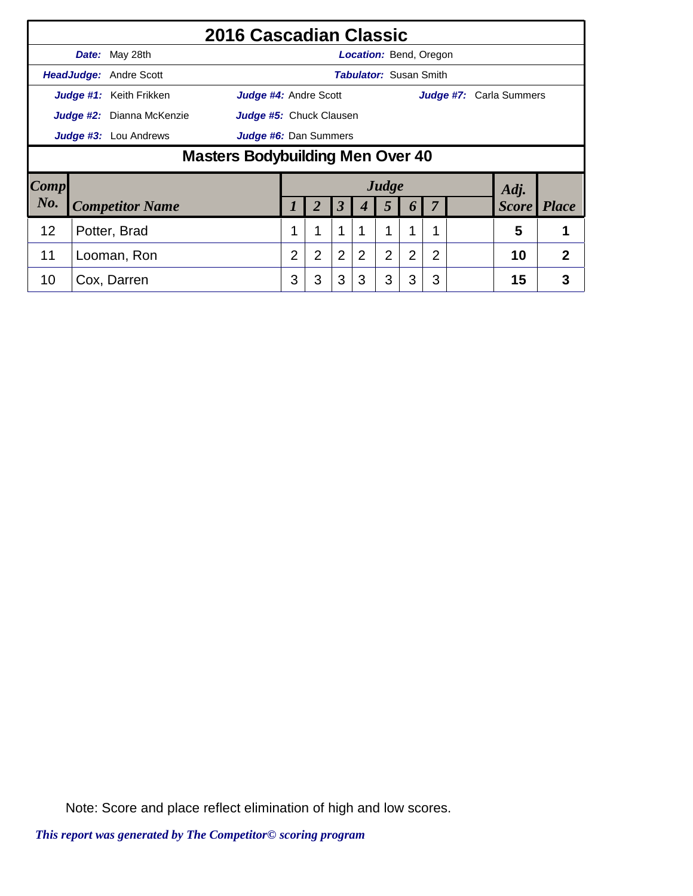|      |                               | 2016 Cascadian Classic           |                |                |                      |                               |                |                |   |                                |              |
|------|-------------------------------|----------------------------------|----------------|----------------|----------------------|-------------------------------|----------------|----------------|---|--------------------------------|--------------|
|      | Date: May 28th                |                                  |                |                |                      | <b>Location: Bend, Oregon</b> |                |                |   |                                |              |
|      | <b>HeadJudge: Andre Scott</b> |                                  |                |                |                      | <b>Tabulator: Susan Smith</b> |                |                |   |                                |              |
|      | Judge #1: Keith Frikken       | <b>Judge #4: Andre Scott</b>     |                |                |                      |                               |                |                |   | <b>Judge #7:</b> Carla Summers |              |
|      | Judge #2: Dianna McKenzie     | Judge #5: Chuck Clausen          |                |                |                      |                               |                |                |   |                                |              |
|      | <b>Judge #3:</b> Lou Andrews  | <b>Judge #6:</b> Dan Summers     |                |                |                      |                               |                |                |   |                                |              |
|      |                               | Masters Bodybuilding Men Over 40 |                |                |                      |                               |                |                |   |                                |              |
| Comp |                               |                                  |                |                |                      |                               | Judge          |                |   | Adj.                           |              |
| No.  | <b>Competitor Name</b>        |                                  |                | 2              | $\boldsymbol{\beta}$ | 4                             | 5              | 6              |   | <b>Score</b>                   | <i>Place</i> |
| 12   | Potter, Brad                  |                                  |                | 1              | 1                    |                               |                |                |   | 5                              |              |
| 11   | Looman, Ron                   |                                  | $\overline{2}$ | $\overline{2}$ | 2                    | 2                             | $\overline{2}$ | $\overline{2}$ | 2 | 10                             | 2            |
| 10   | Cox, Darren                   |                                  | 3              | 3              | 3                    | 3                             | 3              | 3              | 3 | 15                             | 3            |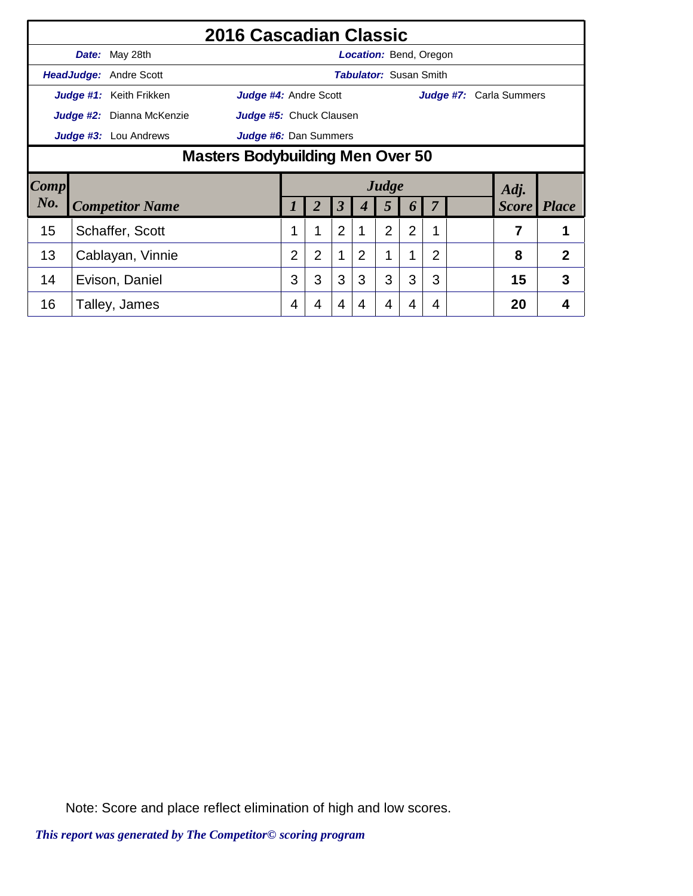|        |                           | 2016 Cascadian Classic           |                |                |                |                |                               |                |   |                                |              |
|--------|---------------------------|----------------------------------|----------------|----------------|----------------|----------------|-------------------------------|----------------|---|--------------------------------|--------------|
|        | <b>Date:</b> May 28th     |                                  |                |                |                |                | <b>Location:</b> Bend, Oregon |                |   |                                |              |
|        | HeadJudge: Andre Scott    |                                  |                |                |                |                | <b>Tabulator: Susan Smith</b> |                |   |                                |              |
|        | Judge #1: Keith Frikken   | <b>Judge #4: Andre Scott</b>     |                |                |                |                |                               |                |   | <b>Judge #7:</b> Carla Summers |              |
|        | Judge #2: Dianna McKenzie | Judge #5: Chuck Clausen          |                |                |                |                |                               |                |   |                                |              |
|        | Judge #3: Lou Andrews     | Judge #6: Dan Summers            |                |                |                |                |                               |                |   |                                |              |
|        |                           | Masters Bodybuilding Men Over 50 |                |                |                |                |                               |                |   |                                |              |
| Comp   |                           |                                  |                |                |                |                | Judge                         |                |   | Adj.                           |              |
| $N0$ . | <b>Competitor Name</b>    |                                  |                |                | 3              | 4              | 5                             | $\bm{o}$       |   | <b>Score</b>                   | <i>Place</i> |
| 15     | Schaffer, Scott           |                                  | 1              | 1              | $\overline{2}$ | 1              | $\overline{2}$                | $\overline{2}$ | 1 | 7                              | 1            |
|        |                           |                                  |                |                |                |                |                               |                |   |                                |              |
| 13     | Cablayan, Vinnie          |                                  | $\overline{2}$ | $\overline{2}$ | 1              | $\overline{2}$ |                               | 1              | 2 | 8                              | 2            |
| 14     | Evison, Daniel            |                                  | 3              | 3              | 3              | 3              | 3                             | 3              | 3 | 15                             | 3            |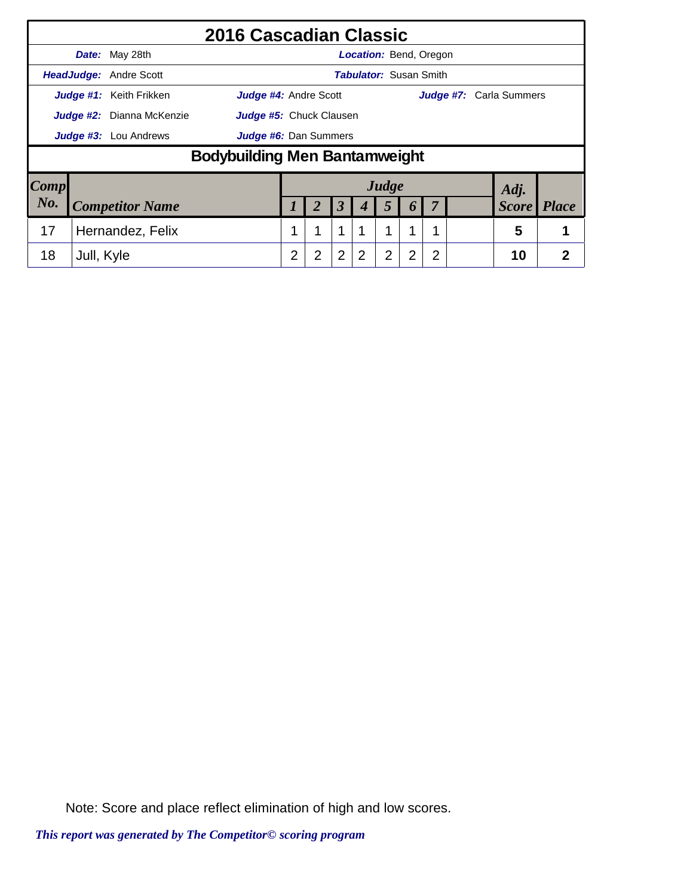|                        |                           |                               | 2016 Cascadian Classic               |   |                              |                      |                               |       |                  |   |                                |                |
|------------------------|---------------------------|-------------------------------|--------------------------------------|---|------------------------------|----------------------|-------------------------------|-------|------------------|---|--------------------------------|----------------|
|                        |                           | Date: May 28th                |                                      |   |                              |                      | <b>Location:</b> Bend, Oregon |       |                  |   |                                |                |
|                        |                           | <b>HeadJudge:</b> Andre Scott |                                      |   |                              |                      | <b>Tabulator: Susan Smith</b> |       |                  |   |                                |                |
|                        |                           | Judge #1: Keith Frikken       | Judge #4: Andre Scott                |   |                              |                      |                               |       |                  |   | <b>Judge #7:</b> Carla Summers |                |
|                        | Judge #2: Dianna McKenzie |                               |                                      |   | Judge #5: Chuck Clausen      |                      |                               |       |                  |   |                                |                |
|                        | Judge #3: Lou Andrews     |                               |                                      |   | <b>Judge #6:</b> Dan Summers |                      |                               |       |                  |   |                                |                |
|                        |                           |                               | <b>Bodybuilding Men Bantamweight</b> |   |                              |                      |                               |       |                  |   |                                |                |
| $\lfloor Comp \rfloor$ |                           |                               |                                      |   |                              |                      |                               | Judge |                  |   | Adj.                           |                |
| No.                    |                           | <b>Competitor Name</b>        |                                      |   | 2                            | $\boldsymbol{\beta}$ | 4                             | 5     | $\boldsymbol{p}$ | 7 | <b>Score</b>                   | <i>Place</i>   |
| 17                     |                           | Hernandez, Felix              |                                      |   | 1                            | 1                    |                               |       |                  |   | 5                              |                |
| 18                     | Jull, Kyle                |                               |                                      | 2 | 2                            | 2                    |                               | 2     | 2                | 2 | 10                             | $\overline{2}$ |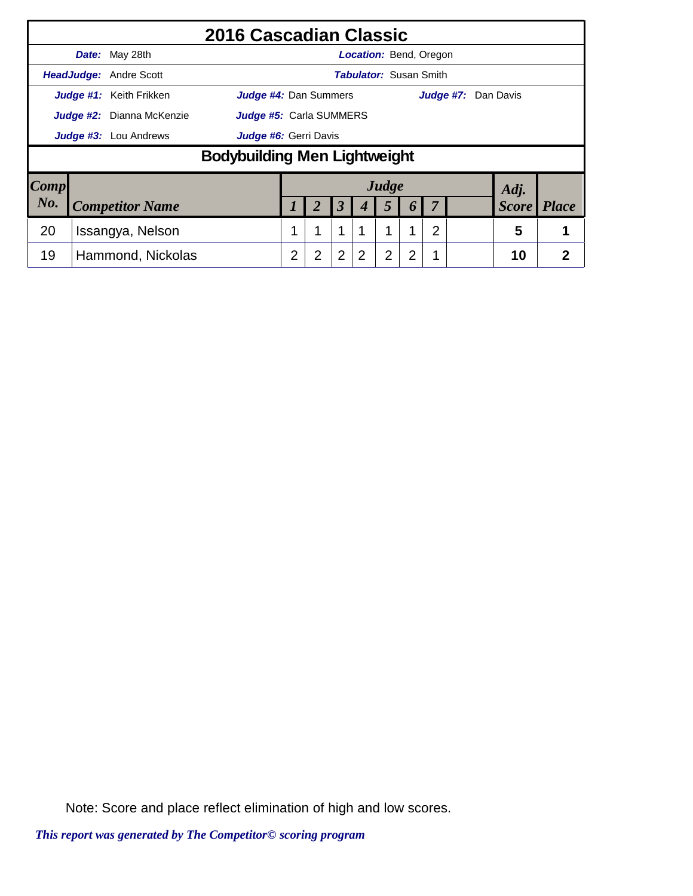|                     |                           |                               | 2016 Cascadian Classic       |   |                         |                |                               |                |                  |                |                     |                    |   |
|---------------------|---------------------------|-------------------------------|------------------------------|---|-------------------------|----------------|-------------------------------|----------------|------------------|----------------|---------------------|--------------------|---|
|                     |                           | Date: May 28th                |                              |   |                         |                | <b>Location: Bend, Oregon</b> |                |                  |                |                     |                    |   |
|                     |                           | <b>HeadJudge:</b> Andre Scott |                              |   |                         |                | <b>Tabulator:</b> Susan Smith |                |                  |                |                     |                    |   |
|                     |                           | Judge #1: Keith Frikken       | <b>Judge #4: Dan Summers</b> |   |                         |                |                               |                |                  |                | Judge #7: Dan Davis |                    |   |
|                     | Judge #2: Dianna McKenzie |                               |                              |   | Judge #5: Carla SUMMERS |                |                               |                |                  |                |                     |                    |   |
|                     | Judge #3: Lou Andrews     |                               |                              |   | Judge #6: Gerri Davis   |                |                               |                |                  |                |                     |                    |   |
|                     |                           |                               | Bodybuilding Men Lightweight |   |                         |                |                               |                |                  |                |                     |                    |   |
| $\boldsymbol{Comp}$ |                           |                               |                              |   |                         |                |                               | Judge          |                  |                |                     | Adj.               |   |
| No.                 |                           | <b>Competitor Name</b>        |                              |   |                         | 3              |                               | 5              | $\boldsymbol{b}$ |                |                     | <b>Score</b> Place |   |
| 20                  |                           | Issangya, Nelson              |                              |   |                         | 1              |                               | 1              |                  | $\overline{2}$ |                     | 5                  |   |
| 19                  |                           | Hammond, Nickolas             |                              | 2 | $\overline{2}$          | $\overline{2}$ | 2                             | $\overline{2}$ | 2                |                |                     | 10                 | 2 |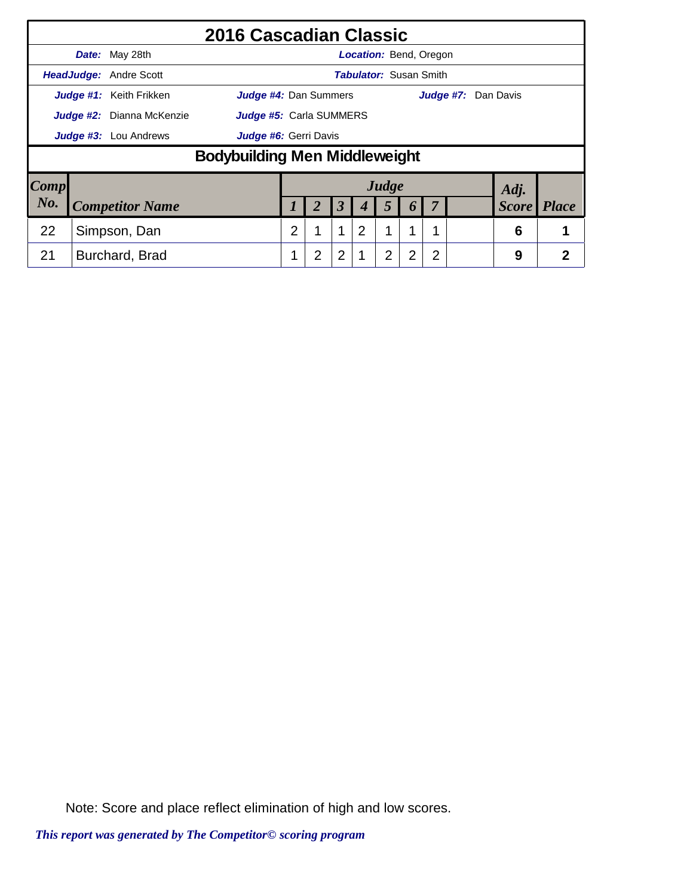|                        |                              |                               | 2016 Cascadian Classic               |   |                                |                      |                               |       |                  |                |                     |              |                |
|------------------------|------------------------------|-------------------------------|--------------------------------------|---|--------------------------------|----------------------|-------------------------------|-------|------------------|----------------|---------------------|--------------|----------------|
|                        |                              | Date: May 28th                |                                      |   |                                |                      | <b>Location: Bend, Oregon</b> |       |                  |                |                     |              |                |
|                        |                              | <b>HeadJudge:</b> Andre Scott |                                      |   |                                |                      | <b>Tabulator: Susan Smith</b> |       |                  |                |                     |              |                |
|                        |                              | Judge #1: Keith Frikken       | <b>Judge #4: Dan Summers</b>         |   |                                |                      |                               |       |                  |                | Judge #7: Dan Davis |              |                |
|                        | Judge #2: Dianna McKenzie    |                               |                                      |   | <b>Judge #5:</b> Carla SUMMERS |                      |                               |       |                  |                |                     |              |                |
|                        | <b>Judge #3:</b> Lou Andrews |                               |                                      |   | Judge #6: Gerri Davis          |                      |                               |       |                  |                |                     |              |                |
|                        |                              |                               | <b>Bodybuilding Men Middleweight</b> |   |                                |                      |                               |       |                  |                |                     |              |                |
| $\lfloor Comp \rfloor$ |                              |                               |                                      |   |                                |                      |                               | Judge |                  |                |                     | Adj.         |                |
| No.                    |                              | <b>Competitor Name</b>        |                                      |   | 2                              | $\boldsymbol{\beta}$ |                               | 5     | $\boldsymbol{0}$ |                |                     | <b>Score</b> | <b>Place</b>   |
| 22                     |                              | Simpson, Dan                  |                                      | 2 | 1                              | $\mathbf 1$          | $\overline{2}$                | 1     | 1                |                |                     | 6            |                |
| 21                     |                              | Burchard, Brad                |                                      |   | $\overline{2}$                 | $\overline{2}$       |                               | 2     | 2                | $\overline{2}$ |                     | 9            | $\overline{2}$ |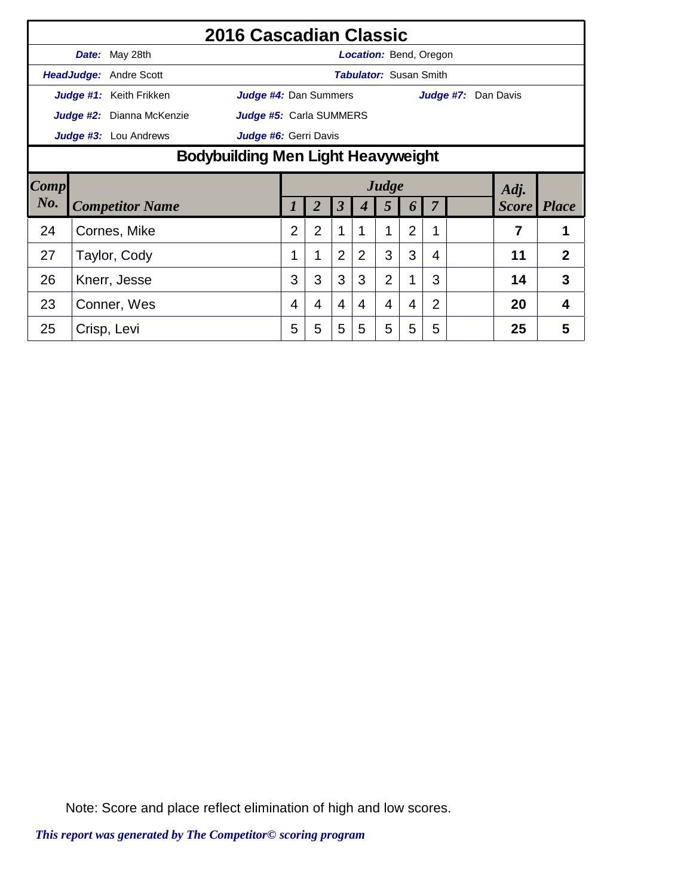|             |                                    | 2016 Cascadian Classic    |                         |                |                |                |                               |                |                |                |                     |              |                |
|-------------|------------------------------------|---------------------------|-------------------------|----------------|----------------|----------------|-------------------------------|----------------|----------------|----------------|---------------------|--------------|----------------|
|             |                                    | Date: May 28th            |                         |                |                |                | <b>Location: Bend, Oregon</b> |                |                |                |                     |              |                |
|             |                                    | HeadJudge: Andre Scott    |                         |                |                |                | <b>Tabulator: Susan Smith</b> |                |                |                |                     |              |                |
|             |                                    | Judge #1: Keith Frikken   | Judge #4: Dan Summers   |                |                |                |                               |                |                |                | Judge #7: Dan Davis |              |                |
|             |                                    | Judge #2: Dianna McKenzie | Judge #5: Carla SUMMERS |                |                |                |                               |                |                |                |                     |              |                |
|             |                                    | Judge #3: Lou Andrews     | Judge #6: Gerri Davis   |                |                |                |                               |                |                |                |                     |              |                |
|             | Bodybuilding Men Light Heavyweight |                           |                         |                |                |                |                               |                |                |                |                     |              |                |
| <b>Comp</b> |                                    |                           |                         |                |                |                |                               | Judge          |                |                |                     | Adj.         |                |
| $N0$ .      |                                    | <b>Competitor Name</b>    |                         |                |                | 3              |                               | 5              | 6              |                |                     | <b>Score</b> | <i>Place</i>   |
| 24          |                                    | Cornes, Mike              |                         | $\overline{2}$ | $\overline{2}$ | 1              |                               |                | $\overline{2}$ | 1              |                     | 7            |                |
| 27          |                                    | Taylor, Cody              |                         |                | 1              | $\overline{2}$ | $\overline{2}$                | 3              | 3              | 4              |                     | 11           | $\overline{2}$ |
| 26          |                                    | Knerr, Jesse              |                         | 3              | 3              | 3              | 3                             | $\overline{2}$ | 1              | 3              |                     | 14           | 3              |
| 23          |                                    | Conner, Wes               |                         | 4              | 4              | $\overline{4}$ | 4                             | $\overline{4}$ | 4              | $\overline{2}$ |                     | 20           | 4              |
| 25          |                                    | Crisp, Levi               |                         | 5              | 5              | 5              | 5                             | 5              | 5              | 5              |                     | 25           | 5              |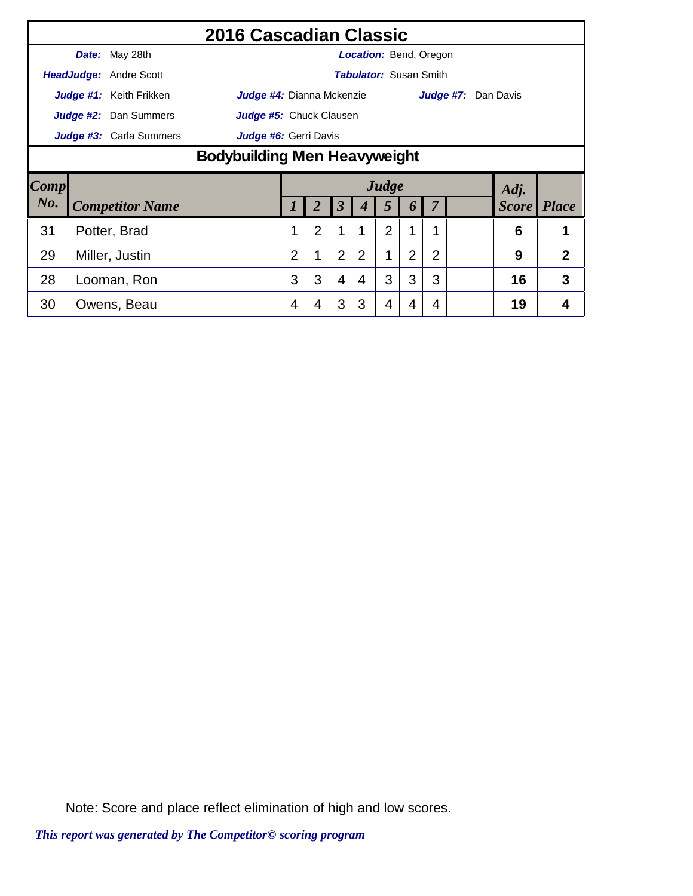|             |                                     |                               | 2016 Cascadian Classic    |                |                |                |                               |                |                |                |                     |              |                |
|-------------|-------------------------------------|-------------------------------|---------------------------|----------------|----------------|----------------|-------------------------------|----------------|----------------|----------------|---------------------|--------------|----------------|
|             |                                     | <b>Date:</b> May 28th         |                           |                |                |                | <b>Location: Bend, Oregon</b> |                |                |                |                     |              |                |
|             |                                     | <b>HeadJudge: Andre Scott</b> |                           |                |                |                | <b>Tabulator: Susan Smith</b> |                |                |                |                     |              |                |
|             |                                     | Judge #1: Keith Frikken       | Judge #4: Dianna Mckenzie |                |                |                |                               |                |                |                | Judge #7: Dan Davis |              |                |
|             |                                     | Judge #2: Dan Summers         | Judge #5: Chuck Clausen   |                |                |                |                               |                |                |                |                     |              |                |
|             |                                     | Judge #3: Carla Summers       | Judge #6: Gerri Davis     |                |                |                |                               |                |                |                |                     |              |                |
|             | <b>Bodybuilding Men Heavyweight</b> |                               |                           |                |                |                |                               |                |                |                |                     |              |                |
| <b>Comp</b> |                                     |                               |                           |                |                |                |                               | Judge          |                |                |                     | Adj.         |                |
| No.         |                                     | <b>Competitor Name</b>        |                           |                |                | 3              |                               | 5              | 6              |                |                     | <b>Score</b> | <i>Place</i>   |
| 31          |                                     | Potter, Brad                  |                           |                | $\overline{2}$ | 1              |                               | $\overline{2}$ | 1              | 1              |                     | 6            | 1              |
|             |                                     |                               |                           |                |                |                |                               |                |                |                |                     |              |                |
| 29          |                                     | Miller, Justin                |                           | $\overline{2}$ | 1              | $\overline{2}$ | 2                             | 1              | $\overline{2}$ | $\overline{2}$ |                     | 9            | $\overline{2}$ |
| 28          |                                     | Looman, Ron                   |                           | 3              | 3              | $\overline{4}$ | 4                             | 3              | 3              | 3              |                     | 16           | 3              |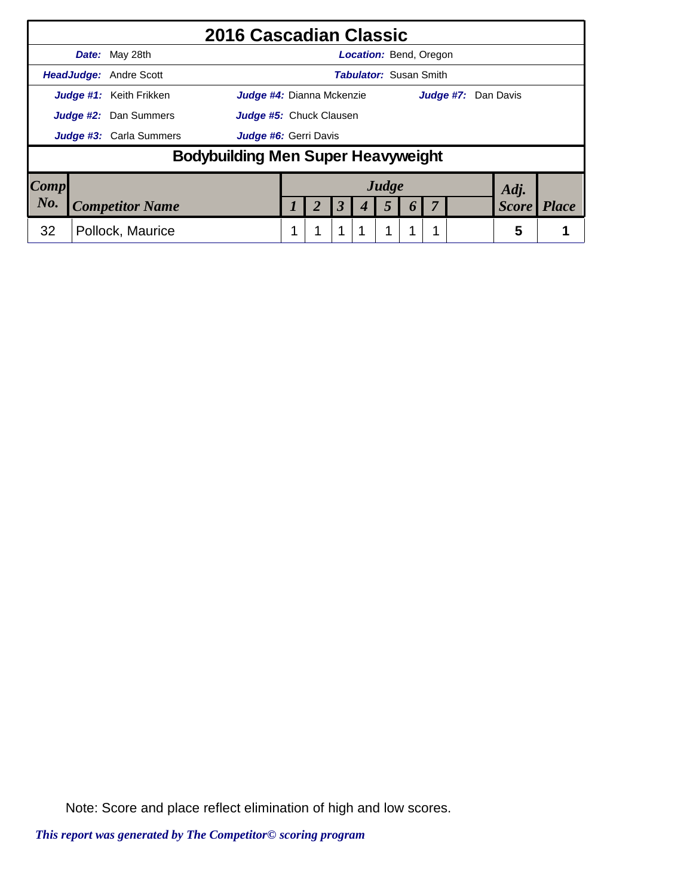|                     | 2016 Cascadian Classic                                      |  |                      |   |                               |          |  |                     |              |
|---------------------|-------------------------------------------------------------|--|----------------------|---|-------------------------------|----------|--|---------------------|--------------|
|                     | <b>Date:</b> May 28th                                       |  |                      |   | Location: Bend, Oregon        |          |  |                     |              |
|                     | <b>HeadJudge: Andre Scott</b>                               |  |                      |   | <b>Tabulator: Susan Smith</b> |          |  |                     |              |
|                     | Judge #1: Keith Frikken<br><b>Judge #4:</b> Dianna Mckenzie |  |                      |   |                               |          |  | Judge #7: Dan Davis |              |
|                     | Judge #2: Dan Summers<br>Judge #5: Chuck Clausen            |  |                      |   |                               |          |  |                     |              |
|                     | <b>Judge #3:</b> Carla Summers<br>Judge #6: Gerri Davis     |  |                      |   |                               |          |  |                     |              |
|                     | Bodybuilding Men Super Heavyweight                          |  |                      |   |                               |          |  |                     |              |
| $\boldsymbol{Comp}$ |                                                             |  |                      |   | Judge                         |          |  | Adj.                |              |
| $N_{0}$ .           | <b>Competitor Name</b>                                      |  | $\boldsymbol{\beta}$ | 4 | 5                             | $\bm{o}$ |  | <b>Score</b>        | <b>Place</b> |
| 32                  | Pollock, Maurice                                            |  | 1                    |   | 1                             |          |  | 5                   |              |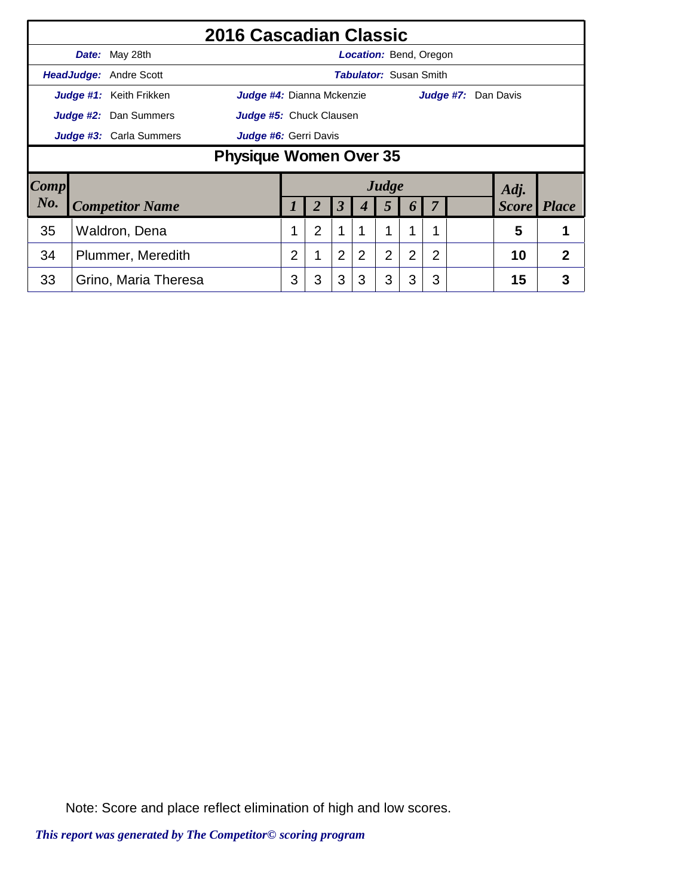|        |                                                  |                               | 2016 Cascadian Classic           |                |   |                      |                               |                |                       |   |   |                     |                |
|--------|--------------------------------------------------|-------------------------------|----------------------------------|----------------|---|----------------------|-------------------------------|----------------|-----------------------|---|---|---------------------|----------------|
|        |                                                  | Date: May 28th                |                                  |                |   |                      | <b>Location: Bend, Oregon</b> |                |                       |   |   |                     |                |
|        |                                                  | <b>HeadJudge: Andre Scott</b> |                                  |                |   |                      | <b>Tabulator: Susan Smith</b> |                |                       |   |   |                     |                |
|        |                                                  | Judge #1: Keith Frikken       | <b>Judge #4:</b> Dianna Mckenzie |                |   |                      |                               |                |                       |   |   | Judge #7: Dan Davis |                |
|        |                                                  | Judge #2: Dan Summers         | Judge #5: Chuck Clausen          |                |   |                      |                               |                |                       |   |   |                     |                |
|        | Judge #3: Carla Summers<br>Judge #6: Gerri Davis |                               |                                  |                |   |                      |                               |                |                       |   |   |                     |                |
|        | <b>Physique Women Over 35</b>                    |                               |                                  |                |   |                      |                               |                |                       |   |   |                     |                |
| Comp   |                                                  |                               |                                  |                |   |                      |                               | Judge          |                       |   |   | Adj.                |                |
| $N0$ . |                                                  | <b>Competitor Name</b>        |                                  |                | 2 | $\boldsymbol{\beta}$ | 4                             | 5              | $\boldsymbol{\theta}$ |   |   | <b>Score</b>        | <b>Place</b>   |
| 35     |                                                  |                               |                                  | $\overline{2}$ | 1 |                      | 1                             | 1              |                       |   | 5 | 1                   |                |
| 34     | Waldron, Dena<br>Plummer, Meredith               |                               |                                  | 2              |   | $\overline{2}$       | $\overline{2}$                | $\overline{2}$ | 2                     | 2 |   | 10                  | $\overline{2}$ |
| 33     |                                                  | Grino, Maria Theresa          |                                  | 3              | 3 | 3                    | 3                             | 3              | 3                     | 3 |   | 15                  | 3              |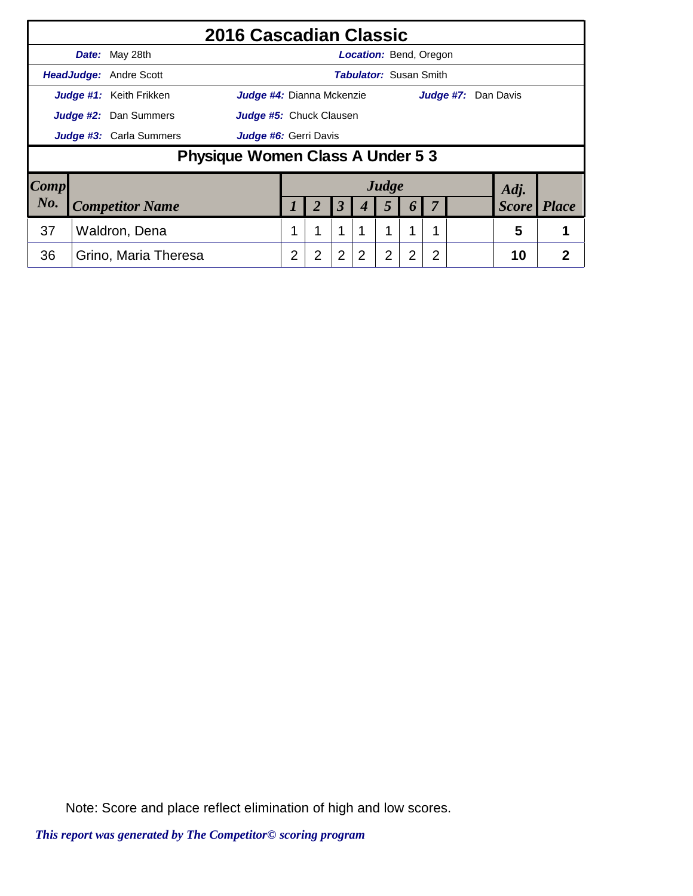|                        |                              |                               | 2016 Cascadian Classic           |   |                       |                |   |                               |                  |   |                            |              |              |
|------------------------|------------------------------|-------------------------------|----------------------------------|---|-----------------------|----------------|---|-------------------------------|------------------|---|----------------------------|--------------|--------------|
|                        |                              | Date: May 28th                |                                  |   |                       |                |   | <b>Location: Bend, Oregon</b> |                  |   |                            |              |              |
|                        |                              | <b>HeadJudge: Andre Scott</b> |                                  |   |                       |                |   | Tabulator: Susan Smith        |                  |   |                            |              |              |
|                        |                              | Judge #1: Keith Frikken       | <b>Judge #4:</b> Dianna Mckenzie |   |                       |                |   |                               |                  |   | <b>Judge #7:</b> Dan Davis |              |              |
|                        | <b>Judge #2:</b> Dan Summers |                               | Judge #5: Chuck Clausen          |   |                       |                |   |                               |                  |   |                            |              |              |
|                        | Judge #3: Carla Summers      |                               |                                  |   | Judge #6: Gerri Davis |                |   |                               |                  |   |                            |              |              |
|                        |                              |                               | Physique Women Class A Under 5 3 |   |                       |                |   |                               |                  |   |                            |              |              |
| $\lfloor Comp \rfloor$ |                              |                               |                                  |   |                       |                |   | Judge                         |                  |   |                            | Adj.         |              |
| No.                    | <b>Competitor Name</b>       |                               |                                  |   | 2                     | 3              |   | $\overline{5}$                | $\boldsymbol{p}$ | 7 |                            | <b>Score</b> | <b>Place</b> |
| 37                     | Waldron, Dena                |                               |                                  |   | 1                     | 1              |   | 1                             | 1                |   |                            | 5            |              |
| 36                     |                              | Grino, Maria Theresa          |                                  | 2 | 2                     | $\overline{2}$ | 2 | $\overline{2}$                | $\overline{2}$   | 2 |                            | 10           | 2            |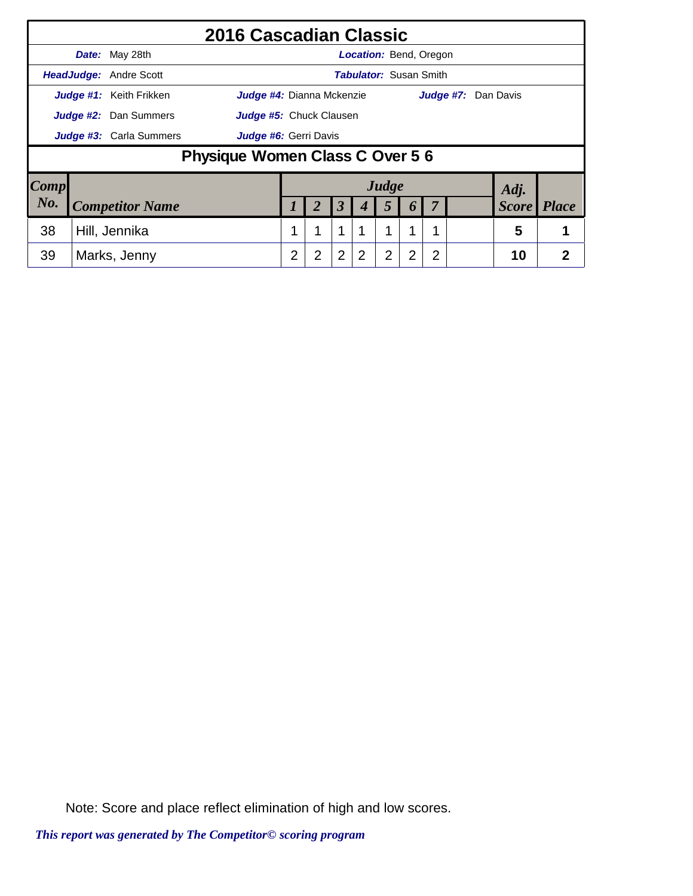|                        |                                                          |                               | 2016 Cascadian Classic    |   |                         |                |                               |                  |                |              |                     |              |   |
|------------------------|----------------------------------------------------------|-------------------------------|---------------------------|---|-------------------------|----------------|-------------------------------|------------------|----------------|--------------|---------------------|--------------|---|
|                        |                                                          | Date: May 28th                |                           |   |                         |                | <b>Location: Bend, Oregon</b> |                  |                |              |                     |              |   |
|                        |                                                          | <b>HeadJudge:</b> Andre Scott |                           |   |                         |                | Tabulator: Susan Smith        |                  |                |              |                     |              |   |
|                        |                                                          | Judge #1: Keith Frikken       | Judge #4: Dianna Mckenzie |   |                         |                |                               |                  |                |              | Judge #7: Dan Davis |              |   |
|                        | <b>Judge #2:</b> Dan Summers                             |                               |                           |   | Judge #5: Chuck Clausen |                |                               |                  |                |              |                     |              |   |
|                        | Judge #3: Carla Summers                                  |                               |                           |   |                         |                |                               |                  |                |              |                     |              |   |
|                        | Judge #6: Gerri Davis<br>Physique Women Class C Over 5 6 |                               |                           |   |                         |                |                               |                  |                |              |                     |              |   |
| $\lfloor Comp \rfloor$ |                                                          |                               |                           |   |                         |                |                               | Judge            |                |              | Adj.                |              |   |
| $N0$ .                 | <b>Competitor Name</b>                                   |                               |                           |   | 3                       |                | 5                             | $\boldsymbol{b}$ | 7              | <b>Score</b> |                     | <b>Place</b> |   |
| 38                     | Hill, Jennika                                            |                               |                           |   | 1                       | 1              |                               | 1                | 1              |              | 5                   |              |   |
| 39                     |                                                          | Marks, Jenny                  |                           | 2 | $\overline{2}$          | $\overline{2}$ | $\overline{2}$                | $\overline{2}$   | $\overline{2}$ | 2            |                     | 10           | 2 |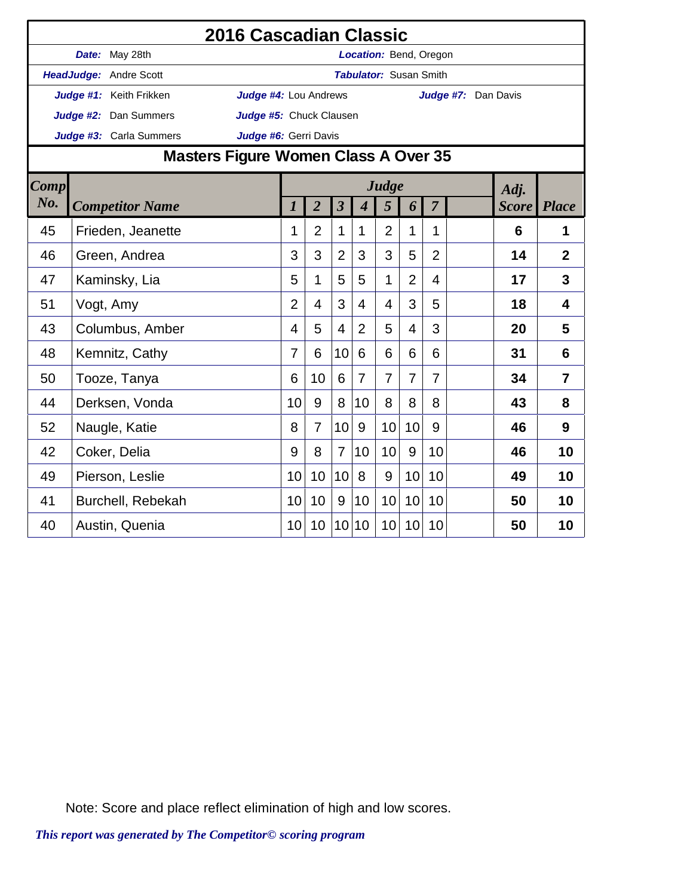|             |                         |                                | 2016 Cascadian Classic               |                |                |                      |                               |                |                |                |                     |              |                |
|-------------|-------------------------|--------------------------------|--------------------------------------|----------------|----------------|----------------------|-------------------------------|----------------|----------------|----------------|---------------------|--------------|----------------|
|             | Date: May 28th          |                                |                                      |                |                |                      | Location: Bend, Oregon        |                |                |                |                     |              |                |
|             | HeadJudge: Andre Scott  |                                |                                      |                |                |                      | <b>Tabulator: Susan Smith</b> |                |                |                |                     |              |                |
|             | Judge #1: Keith Frikken |                                | Judge #4: Lou Andrews                |                |                |                      |                               |                |                |                | Judge #7: Dan Davis |              |                |
|             |                         | Judge #2: Dan Summers          | Judge #5: Chuck Clausen              |                |                |                      |                               |                |                |                |                     |              |                |
|             |                         | Judge #3: Carla Summers        | Judge #6: Gerri Davis                |                |                |                      |                               |                |                |                |                     |              |                |
|             |                         |                                | Masters Figure Women Class A Over 35 |                |                |                      |                               |                |                |                |                     |              |                |
| <b>Comp</b> |                         |                                |                                      |                |                |                      |                               | Judge          |                |                |                     | Adj.         |                |
| $N0$ .      |                         | <b>Competitor Name</b>         |                                      | 1              | $\overline{2}$ | $\boldsymbol{\beta}$ | $\boldsymbol{4}$              | 5              | 6              | $\overline{7}$ |                     | <b>Score</b> | <b>Place</b>   |
| 45          |                         | Frieden, Jeanette              |                                      | 1              | $\overline{2}$ | $\mathbf 1$          | 1                             | $\overline{2}$ | 1              | 1              |                     | 6            | 1              |
| 46          |                         |                                |                                      | 3              | 3              | $\overline{2}$       | 3                             | 3              | 5              | $\overline{2}$ |                     | 14           | $\overline{2}$ |
| 47          |                         | Green, Andrea<br>Kaminsky, Lia |                                      |                | 1              | 5                    | 5                             | 1              | $\overline{2}$ | $\overline{4}$ |                     | 17           | 3              |
| 51          | Vogt, Amy               |                                |                                      | $\overline{2}$ | $\overline{4}$ | 3                    | $\overline{4}$                | 4              | 3              | 5              |                     | 18           | $\overline{4}$ |
| 43          |                         | Columbus, Amber                |                                      | 4              | 5              | $\overline{4}$       | $\overline{2}$                | 5              | $\overline{4}$ | 3              |                     | 20           | 5              |
| 48          | Kemnitz, Cathy          |                                |                                      | 7              | 6              | 10                   | 6                             | 6              | 6              | 6              |                     | 31           | 6              |
| 50          | Tooze, Tanya            |                                |                                      | 6              | 10             | 6                    | $\overline{7}$                | $\overline{7}$ | $\overline{7}$ | 7              |                     | 34           | 7              |
| 44          |                         | Derksen, Vonda                 |                                      | 10             | 9              | 8                    | 10                            | 8              | 8              | 8              |                     | 43           | 8              |
| 52          | Naugle, Katie           |                                |                                      | 8              | $\overline{7}$ | 10                   | 9                             | 10             | 10             | 9              |                     | 46           | 9              |
| 42          | Coker, Delia            |                                |                                      | 9              | 8              | $\overline{7}$       | 10                            | 10             | 9              | 10             |                     | 46           | 10             |
| 49          | Pierson, Leslie         |                                |                                      | 10             | 10             | 10                   | 8                             | 9              | 10             | 10             |                     | 49           | 10             |
| 41          |                         | Burchell, Rebekah              |                                      | 10             | 10             | 9                    | 10                            | 10             | 10             | 10             |                     | 50           | 10             |
| 40          | Austin, Quenia          |                                |                                      | 10             | 10             | 10                   | 10                            | 10             | 10             | 10             |                     | 50           | 10             |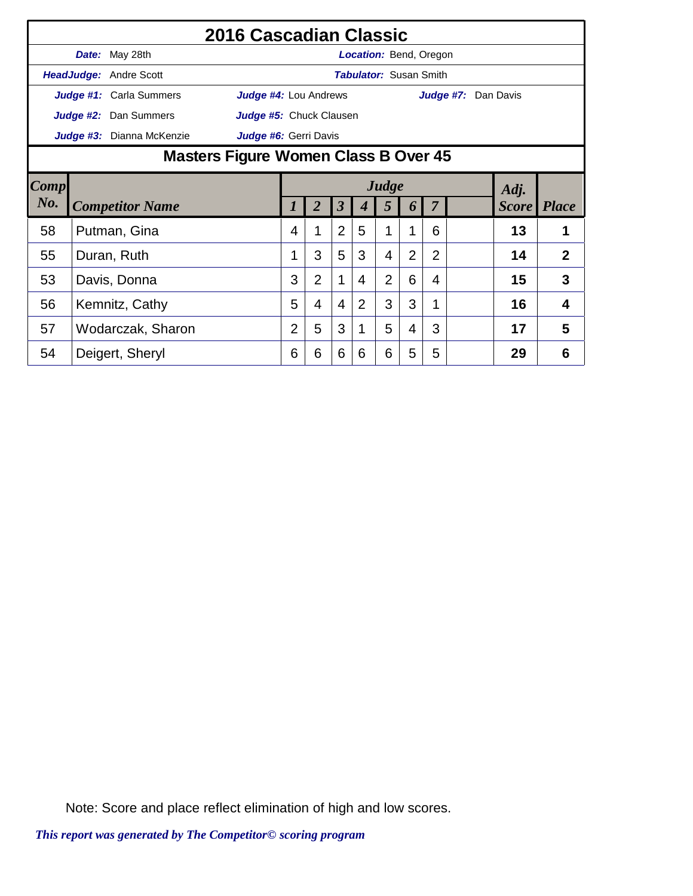|      |                        |                               | 2016 Cascadian Classic               |                |                      |                |   |                               |                |                |                     |    |                |
|------|------------------------|-------------------------------|--------------------------------------|----------------|----------------------|----------------|---|-------------------------------|----------------|----------------|---------------------|----|----------------|
|      |                        | Date: May 28th                |                                      |                |                      |                |   | <b>Location: Bend, Oregon</b> |                |                |                     |    |                |
|      |                        | <b>HeadJudge: Andre Scott</b> |                                      |                |                      |                |   | <b>Tabulator: Susan Smith</b> |                |                |                     |    |                |
|      |                        | Judge #1: Carla Summers       | Judge #4: Lou Andrews                |                |                      |                |   |                               |                |                | Judge #7: Dan Davis |    |                |
|      |                        | Judge #2: Dan Summers         | Judge #5: Chuck Clausen              |                |                      |                |   |                               |                |                |                     |    |                |
|      |                        | Judge #3: Dianna McKenzie     | Judge #6: Gerri Davis                |                |                      |                |   |                               |                |                |                     |    |                |
|      |                        |                               | Masters Figure Women Class B Over 45 |                |                      |                |   |                               |                |                |                     |    |                |
| Comp |                        |                               | Judge<br>Adj.                        |                |                      |                |   |                               |                |                |                     |    |                |
| No.  | <b>Competitor Name</b> |                               |                                      | 2              | $\boldsymbol{\beta}$ |                | 5 | 6                             | $\overline{7}$ |                | <b>Score</b> Place  |    |                |
| 58   |                        | Putman, Gina                  |                                      | 4              | 1                    | $\overline{2}$ | 5 |                               | 1              | 6              |                     | 13 | 1              |
| 55   |                        | Duran, Ruth                   |                                      |                | 3                    | 5              | 3 | 4                             | $\overline{2}$ | $\overline{2}$ |                     | 14 | $\overline{2}$ |
| 53   |                        | Davis, Donna                  |                                      | 3              | $\overline{2}$       | 1              | 4 | $\overline{2}$                | 6              | 4              |                     | 15 | 3              |
| 56   |                        | Kemnitz, Cathy                |                                      | 5              | 4                    | $\overline{4}$ | 2 | 3                             | 3              | 1              |                     | 16 | 4              |
| 57   |                        | Wodarczak, Sharon             |                                      | $\overline{2}$ | 5                    | 3              |   | 5                             | 4              | 3              |                     | 17 | 5              |
| 54   |                        | Deigert, Sheryl               |                                      | 6              | 6                    | 6              | 6 | 6                             | 5              | 5              |                     | 29 | 6              |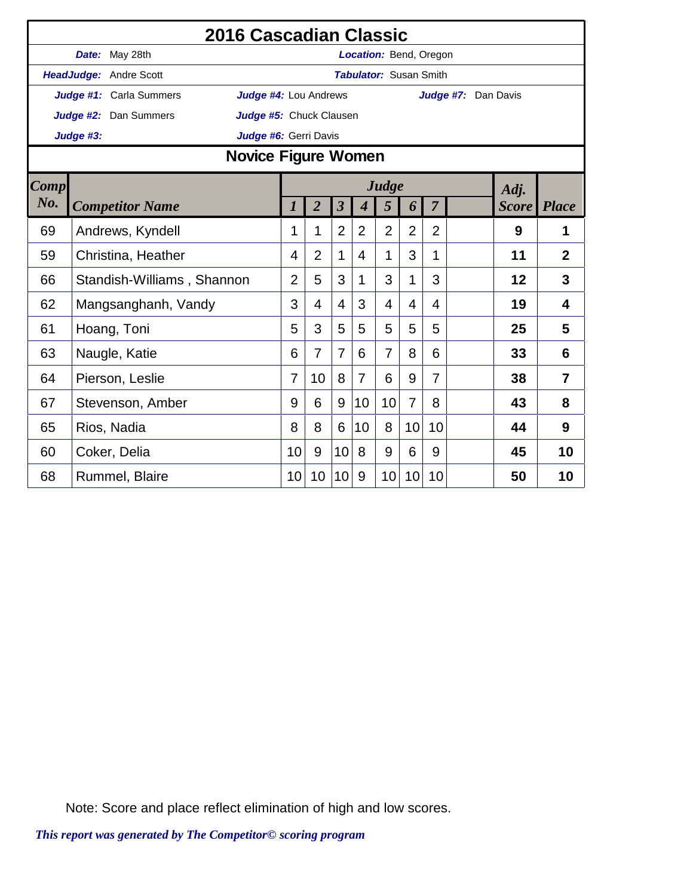|             |           | 2016 Cascadian Classic                                  |    |                |                         |                  |                               |                |                |                     |              |                |
|-------------|-----------|---------------------------------------------------------|----|----------------|-------------------------|------------------|-------------------------------|----------------|----------------|---------------------|--------------|----------------|
|             |           | Date: May 28th                                          |    |                |                         |                  | Location: Bend, Oregon        |                |                |                     |              |                |
|             |           | HeadJudge: Andre Scott                                  |    |                |                         |                  | <b>Tabulator: Susan Smith</b> |                |                |                     |              |                |
|             |           | Judge #1: Carla Summers<br><b>Judge #4: Lou Andrews</b> |    |                |                         |                  |                               |                |                | Judge #7: Dan Davis |              |                |
|             |           | Judge #2: Dan Summers<br>Judge #5: Chuck Clausen        |    |                |                         |                  |                               |                |                |                     |              |                |
|             | Judge #3: | Judge #6: Gerri Davis                                   |    |                |                         |                  |                               |                |                |                     |              |                |
|             |           | Novice Figure Women                                     |    |                |                         |                  |                               |                |                |                     |              |                |
| <b>Comp</b> |           |                                                         |    |                |                         |                  | Judge                         |                |                |                     | Adj.         |                |
| No.         |           | <b>Competitor Name</b>                                  | 1  | $\overline{2}$ | $\overline{\mathbf{3}}$ | $\boldsymbol{4}$ | 5                             | 6              | $\overline{7}$ |                     | <b>Score</b> | <b>Place</b>   |
| 69          |           | Andrews, Kyndell                                        | 1  | 1              | $\overline{2}$          | $\overline{2}$   | $\overline{2}$                | $\overline{2}$ | $\overline{2}$ |                     | 9            | 1              |
| 59          |           | Christina, Heather                                      | 4  | $\overline{2}$ | $\mathbf 1$             | 4                | 1                             | 3              | $\mathbf 1$    |                     | 11           | $\overline{2}$ |
| 66          |           | Standish-Williams, Shannon                              | 2  | 5              | 3                       | 1                | 3                             | 1              | 3              |                     | 12           | 3              |
| 62          |           | Mangsanghanh, Vandy                                     | 3  | 4              | $\overline{4}$          | 3                | 4                             | 4              | 4              |                     | 19           | 4              |
| 61          |           | Hoang, Toni                                             | 5  | 3              | 5                       | 5                | 5                             | 5              | 5              |                     | 25           | 5              |
| 63          |           | Naugle, Katie                                           | 6  | $\overline{7}$ | $\overline{7}$          | 6                | $\overline{7}$                | 8              | 6              |                     | 33           | 6              |
| 64          |           | Pierson, Leslie                                         | 7  | 10             | 8                       | $\overline{7}$   | 6                             | 9              | 7              |                     | 38           | $\overline{7}$ |
| 67          |           | Stevenson, Amber                                        | 9  | 6              | 9                       | 10               | 10                            | 7              | 8              |                     | 43           | 8              |
| 65          |           | Rios, Nadia                                             | 8  | 8              | 6                       | 10               | 8                             | 10             | 10             |                     | 44           | 9              |
| 60          |           | Coker, Delia                                            | 10 | 9              | 10                      | 8                | 9                             | 6              | 9              |                     | 45           | 10             |
| 68          |           | Rummel, Blaire                                          | 10 | 10             | 10                      | 9                | 10                            | 10             | 10             |                     | 50           | 10             |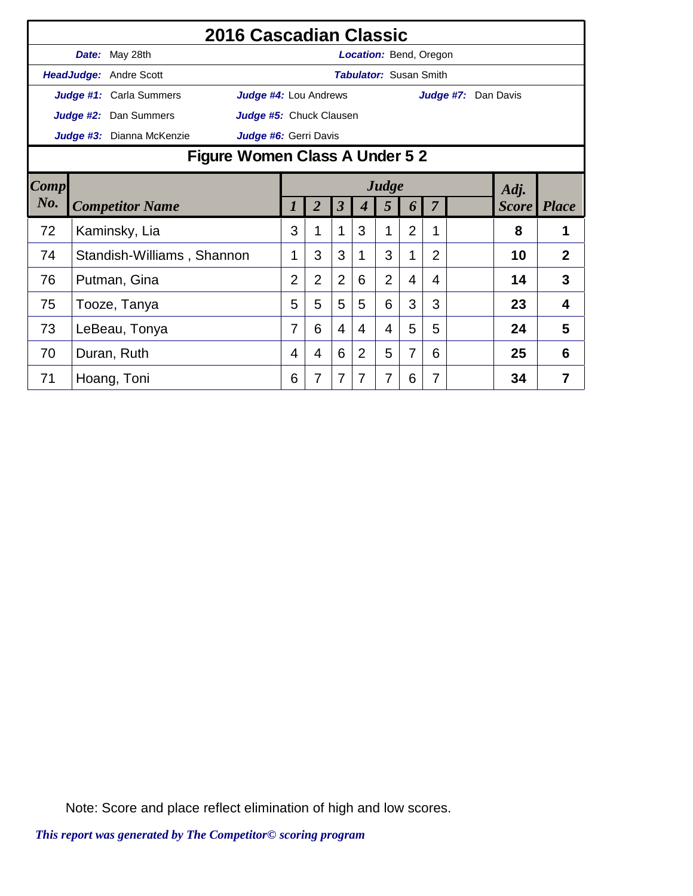|                |               | 2016 Cascadian Classic                                  |                |                |                         |                               |                |                |                |                     |              |                |
|----------------|---------------|---------------------------------------------------------|----------------|----------------|-------------------------|-------------------------------|----------------|----------------|----------------|---------------------|--------------|----------------|
|                |               | Date: May 28th                                          |                |                |                         | Location: Bend, Oregon        |                |                |                |                     |              |                |
|                |               | HeadJudge: Andre Scott                                  |                |                |                         | <b>Tabulator: Susan Smith</b> |                |                |                |                     |              |                |
|                |               | Judge #4: Lou Andrews<br><b>Judge #1:</b> Carla Summers |                |                |                         |                               |                |                |                | Judge #7: Dan Davis |              |                |
|                |               | Judge #2: Dan Summers<br>Judge #5: Chuck Clausen        |                |                |                         |                               |                |                |                |                     |              |                |
|                |               | Judge #3: Dianna McKenzie<br>Judge #6: Gerri Davis      |                |                |                         |                               |                |                |                |                     |              |                |
|                |               | Figure Women Class A Under 5 2                          |                |                |                         |                               |                |                |                |                     |              |                |
| $\boxed{Comp}$ |               |                                                         |                |                |                         |                               | Judge          |                |                |                     | Adj.         |                |
| $N0$ .         |               | <b>Competitor Name</b>                                  |                | $\overline{2}$ | $\overline{\mathbf{3}}$ | 4                             | 5              | 6              | $\overline{7}$ |                     | <b>Score</b> | <b>Place</b>   |
| 72             |               | Kaminsky, Lia                                           | 3              | 1              | 1                       | 3                             | 1              | $\overline{2}$ | 1              |                     | 8            |                |
| 74             |               | Standish-Williams, Shannon                              | 1              | 3              | 3                       | 1                             | 3              | 1              | $\overline{2}$ |                     | 10           | $\overline{2}$ |
| 76             |               | Putman, Gina                                            | $\overline{2}$ | $\overline{2}$ | $\overline{2}$          | 6                             | $\overline{2}$ | 4              | 4              |                     | 14           | 3              |
| 75             |               | Tooze, Tanya                                            | 5              | 5              | 5                       | 5                             | 6              | 3              | 3              |                     | 23           | $\overline{4}$ |
| 73             | LeBeau, Tonya |                                                         |                | 6              | 4                       | 4                             | 4              | 5              | 5              |                     | 24           | 5              |
| 70             |               | Duran, Ruth                                             | 4              | 4              | 6                       | $\overline{2}$                | 5              | 7              | 6              |                     | 25           | 6              |
| 71             |               | Hoang, Toni                                             | 6              | 7              | 7                       | 7                             | 7              | 6              | 7              |                     | 34           | 7              |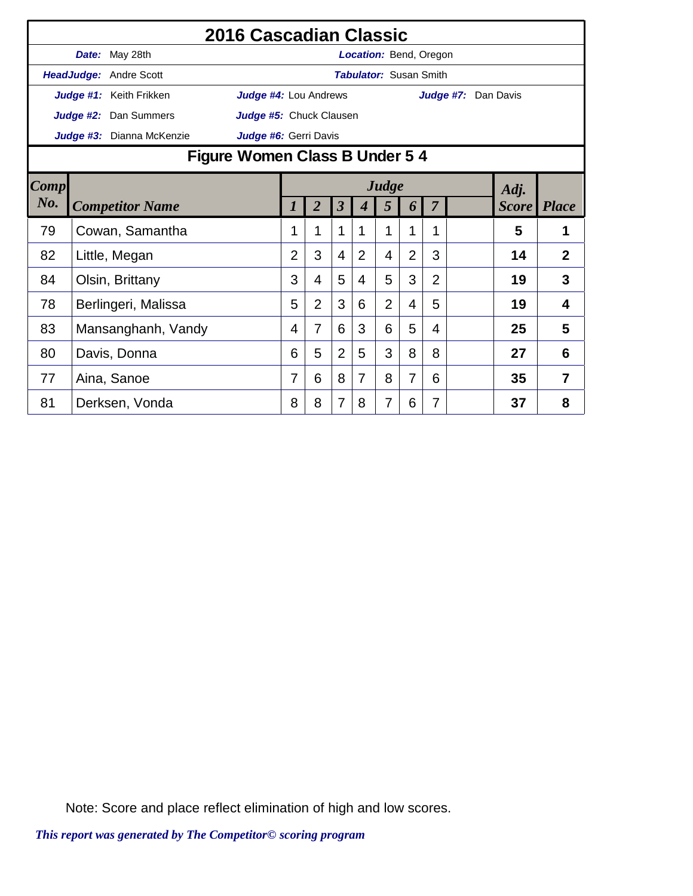|             | 2016 Cascadian Classic         |                         |                |                         |                |                               |                |                |                     |              |                |  |
|-------------|--------------------------------|-------------------------|----------------|-------------------------|----------------|-------------------------------|----------------|----------------|---------------------|--------------|----------------|--|
|             | Date: May 28th                 |                         |                |                         |                | <b>Location: Bend, Oregon</b> |                |                |                     |              |                |  |
|             | HeadJudge: Andre Scott         |                         |                |                         |                | <b>Tabulator: Susan Smith</b> |                |                |                     |              |                |  |
|             | Judge #1: Keith Frikken        | Judge #4: Lou Andrews   |                |                         |                |                               |                |                | Judge #7: Dan Davis |              |                |  |
|             | Judge #2: Dan Summers          | Judge #5: Chuck Clausen |                |                         |                |                               |                |                |                     |              |                |  |
|             | Judge #3: Dianna McKenzie      | Judge #6: Gerri Davis   |                |                         |                |                               |                |                |                     |              |                |  |
|             | Figure Women Class B Under 5 4 |                         |                |                         |                |                               |                |                |                     |              |                |  |
| <b>Comp</b> |                                | Judge<br>Adj.           |                |                         |                |                               |                |                |                     |              |                |  |
| $N0$ .      | <b>Competitor Name</b>         |                         | $\overline{2}$ | $\overline{\mathbf{3}}$ | 4              | 5                             | 6              | $\overline{7}$ |                     | <b>Score</b> | <b>Place</b>   |  |
| 79          | Cowan, Samantha                |                         | 1              | 1                       |                |                               | 1              | 1              |                     | 5            | 1              |  |
| 82          | Little, Megan                  | $\overline{2}$          | 3              | $\overline{4}$          | $\overline{2}$ | 4                             | $\overline{2}$ | 3              |                     | 14           | $\overline{2}$ |  |
| 84          | Olsin, Brittany                | 3                       | 4              | 5                       | 4              | 5                             | 3              | $\overline{2}$ |                     | 19           | 3              |  |
| 78          | Berlingeri, Malissa            | 5                       | $\overline{2}$ | 3                       | 6              | $\overline{2}$                | 4              | 5              |                     | 19           | 4              |  |
| 83          | Mansanghanh, Vandy             | 4                       | 7              | 6                       | 3              | 6                             | 5              | 4              |                     | 25           | 5              |  |
| 80          | Davis, Donna                   | 6                       | 5              | $\overline{2}$          | 5              | 3                             | 8              | 8              |                     | 27           | 6              |  |
| 77          | Aina, Sanoe                    | 7                       | 6              | 8                       | 7              | 8                             | 7              | 6              |                     | 35           | 7              |  |
| 81          | Derksen, Vonda                 | 8                       | 8              | $\overline{7}$          | 8              | 7                             | 6              | 7              |                     | 37           | 8              |  |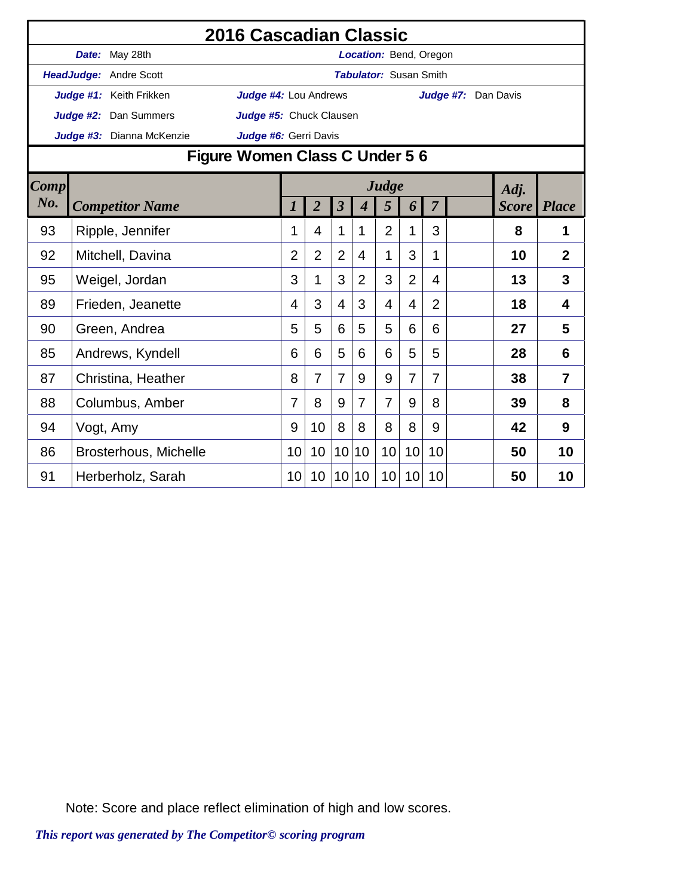|      |                               | 2016 Cascadian Classic         |                 |                |                         |                |                               |                |                |                     |              |                |
|------|-------------------------------|--------------------------------|-----------------|----------------|-------------------------|----------------|-------------------------------|----------------|----------------|---------------------|--------------|----------------|
|      | Date: May 28th                |                                |                 |                |                         |                | <b>Location: Bend, Oregon</b> |                |                |                     |              |                |
|      | <b>HeadJudge: Andre Scott</b> |                                |                 |                |                         |                | <b>Tabulator: Susan Smith</b> |                |                |                     |              |                |
|      | Judge #1: Keith Frikken       | Judge #4: Lou Andrews          |                 |                |                         |                |                               |                |                | Judge #7: Dan Davis |              |                |
|      | Judge #2: Dan Summers         | Judge #5: Chuck Clausen        |                 |                |                         |                |                               |                |                |                     |              |                |
|      | Judge #3: Dianna McKenzie     | Judge #6: Gerri Davis          |                 |                |                         |                |                               |                |                |                     |              |                |
|      |                               | Figure Women Class C Under 5 6 |                 |                |                         |                |                               |                |                |                     |              |                |
| Comp |                               |                                |                 |                |                         |                | Judge                         |                |                |                     | Adj.         |                |
| No.  | <b>Competitor Name</b>        |                                | 1               | $\overline{2}$ | $\overline{\mathbf{3}}$ | 4              | 5                             | 6              | $\overline{7}$ |                     | <i>Score</i> | <b>Place</b>   |
| 93   | Ripple, Jennifer              |                                | 1               | 4              | 1                       | 1              | $\overline{2}$                | 1              | 3              |                     | 8            | 1              |
| 92   | Mitchell, Davina              |                                | $\overline{2}$  | $\overline{2}$ | $\overline{2}$          | 4              | 1                             | 3              | 1              |                     | 10           | $\overline{2}$ |
| 95   | Weigel, Jordan                |                                | 3               | 1              | 3                       | $\overline{2}$ | 3                             | $\overline{2}$ | $\overline{4}$ |                     | 13           | 3              |
| 89   | Frieden, Jeanette             |                                | 4               | 3              | 4                       | 3              | 4                             | 4              | $\overline{2}$ |                     | 18           | 4              |
| 90   | Green, Andrea                 |                                | 5               | 5              | 6                       | 5              | 5                             | 6              | 6              |                     | 27           | 5              |
| 85   | Andrews, Kyndell              |                                | 6               | 6              | 5                       | 6              | 6                             | 5              | 5              |                     | 28           | 6              |
| 87   | Christina, Heather            |                                | 8               | $\overline{7}$ | $\overline{7}$          | 9              | 9                             | $\overline{7}$ | $\overline{7}$ |                     | 38           | $\overline{7}$ |
| 88   | Columbus, Amber               |                                | 7               | 8              | 9                       | $\overline{7}$ | $\overline{7}$                | 9              | 8              |                     | 39           | 8              |
| 94   | Vogt, Amy                     |                                | 9               | 10             | 8                       | 8              | 8                             | 8              | 9              |                     | 42           | 9              |
| 86   | Brosterhous, Michelle         |                                | 10              | 10             | 10 <sup>1</sup>         | 10             | 10                            | 10             | 10             |                     | 50           | 10             |
| 91   | Herberholz, Sarah             |                                | 10 <sup>°</sup> | 10             | 10 <sup>1</sup>         | 10             | 10                            | 10             | 10             |                     | 50           | 10             |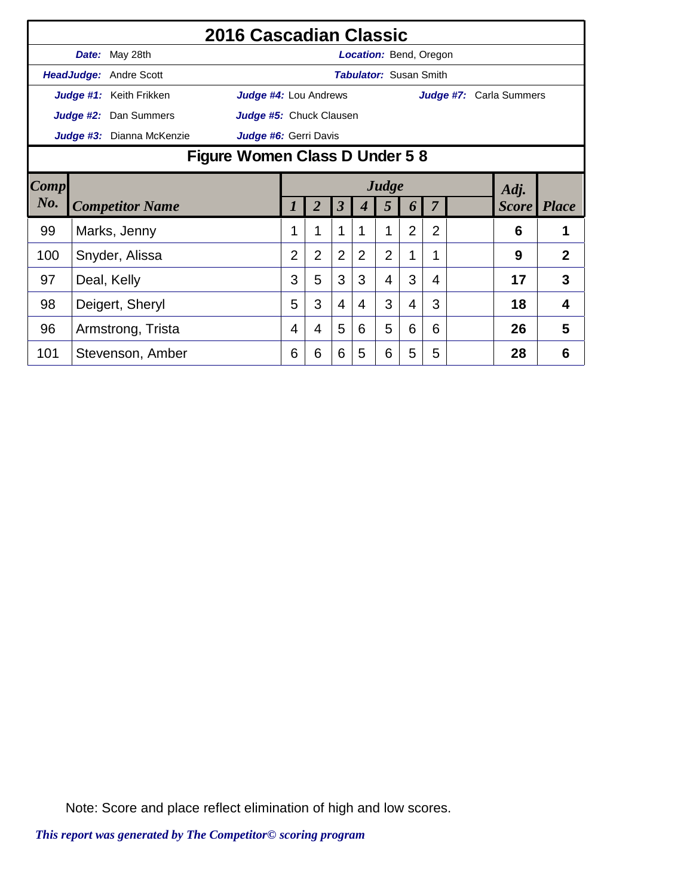|        |                                |                               | 2016 Cascadian Classic  |                |                      |                |   |                               |                |                |                         |    |                |
|--------|--------------------------------|-------------------------------|-------------------------|----------------|----------------------|----------------|---|-------------------------------|----------------|----------------|-------------------------|----|----------------|
|        |                                | Date: May 28th                |                         |                |                      |                |   | Location: Bend, Oregon        |                |                |                         |    |                |
|        |                                | <b>HeadJudge: Andre Scott</b> |                         |                |                      |                |   | <b>Tabulator: Susan Smith</b> |                |                |                         |    |                |
|        |                                | Judge #1: Keith Frikken       | Judge #4: Lou Andrews   |                |                      |                |   |                               |                |                | Judge #7: Carla Summers |    |                |
|        |                                | Judge #2: Dan Summers         | Judge #5: Chuck Clausen |                |                      |                |   |                               |                |                |                         |    |                |
|        |                                | Judge #3: Dianna McKenzie     | Judge #6: Gerri Davis   |                |                      |                |   |                               |                |                |                         |    |                |
|        | Figure Women Class D Under 5 8 |                               |                         |                |                      |                |   |                               |                |                |                         |    |                |
| Comp   | Judge<br>Adj.                  |                               |                         |                |                      |                |   |                               |                |                |                         |    |                |
| $N0$ . | <b>Competitor Name</b>         |                               |                         | 2              | $\boldsymbol{\beta}$ |                | 5 | 6                             | $\overline{7}$ |                | <b>Score</b> Place      |    |                |
| 99     |                                | Marks, Jenny                  |                         |                | 1                    | 1              | 1 | 1                             | $\overline{2}$ | $\overline{2}$ |                         | 6  |                |
| 100    |                                | Snyder, Alissa                |                         | $\overline{2}$ | $\overline{2}$       | $\overline{2}$ | 2 | $\overline{2}$                | 1              | 1              |                         | 9  | $\overline{2}$ |
| 97     |                                | Deal, Kelly                   |                         | 3              | 5                    | 3              | 3 | $\overline{4}$                | 3              | 4              |                         | 17 | 3              |
| 98     |                                | Deigert, Sheryl               |                         | 5              | 3                    | 4              | 4 | 3                             | 4              | 3              |                         | 18 | 4              |
| 96     |                                | Armstrong, Trista             |                         | 4              | 4                    | 5              | 6 | 5                             | 6              | 6              |                         | 26 | 5              |
| 101    |                                | Stevenson, Amber              |                         | 6              | 6                    | 6              | 5 | 6                             | 5              | 5              |                         | 28 | 6              |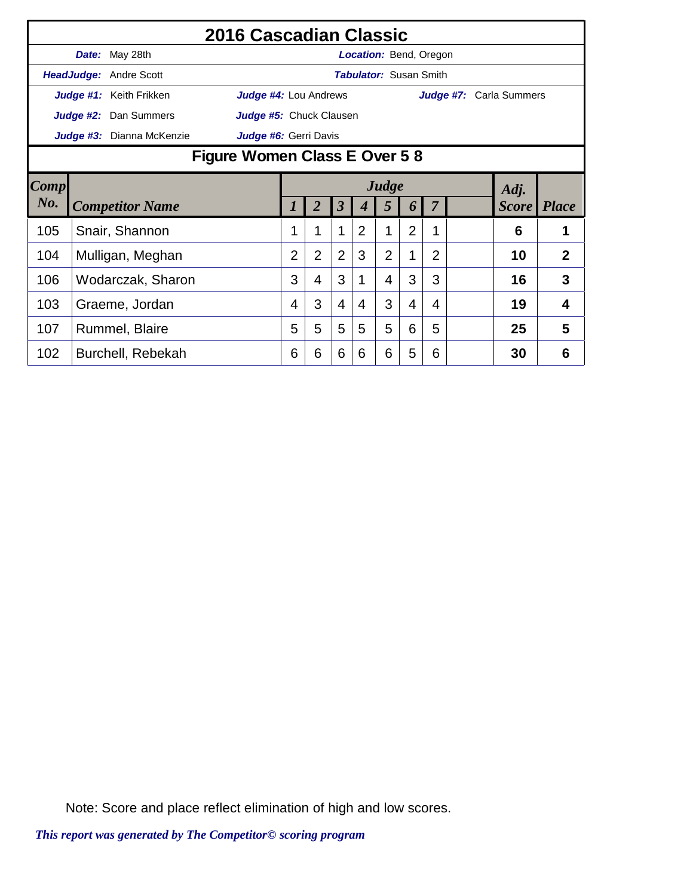|      |                              |                           | 2016 Cascadian Classic  |                |                |                         |   |                               |                |                |                         |                    |                |
|------|------------------------------|---------------------------|-------------------------|----------------|----------------|-------------------------|---|-------------------------------|----------------|----------------|-------------------------|--------------------|----------------|
|      |                              | Date: May 28th            |                         |                |                |                         |   | <b>Location:</b> Bend, Oregon |                |                |                         |                    |                |
|      |                              | HeadJudge: Andre Scott    |                         |                |                |                         |   | <b>Tabulator: Susan Smith</b> |                |                |                         |                    |                |
|      |                              | Judge #1: Keith Frikken   | Judge #4: Lou Andrews   |                |                |                         |   |                               |                |                | Judge #7: Carla Summers |                    |                |
|      |                              | Judge #2: Dan Summers     | Judge #5: Chuck Clausen |                |                |                         |   |                               |                |                |                         |                    |                |
|      |                              | Judge #3: Dianna McKenzie | Judge #6: Gerri Davis   |                |                |                         |   |                               |                |                |                         |                    |                |
|      | Figure Women Class E Over 58 |                           |                         |                |                |                         |   |                               |                |                |                         |                    |                |
| Comp |                              | Judge<br>Adj.             |                         |                |                |                         |   |                               |                |                |                         |                    |                |
| No.  |                              | <b>Competitor Name</b>    |                         |                | 2              | $\overline{\mathbf{3}}$ |   | 5                             | 6              | $\overline{7}$ |                         | <b>Score</b> Place |                |
| 105  |                              | Snair, Shannon            |                         |                |                | 1                       | 2 | 1                             | $\overline{2}$ | 1              |                         | 6                  |                |
| 104  |                              | Mulligan, Meghan          |                         | $\overline{2}$ | $\overline{2}$ | $\overline{2}$          | 3 | $\overline{2}$                | 1              | $\overline{2}$ |                         | 10                 | $\overline{2}$ |
| 106  |                              | Wodarczak, Sharon         |                         | 3              | 4              | 3                       | 1 | 4                             | 3              | 3              |                         | 16                 | 3              |
| 103  |                              | Graeme, Jordan            |                         | 4              | 3              | 4                       | 4 | 3                             | 4              | 4              |                         | 19                 | $\overline{4}$ |
| 107  |                              | Rummel, Blaire            |                         | 5              | 5              | 5                       | 5 | 5                             | 6              | 5              |                         | 25                 | 5              |
| 102  |                              | Burchell, Rebekah         |                         | 6              | 6              | 6                       | 6 | 6                             | 5              | 6              |                         | 30                 | 6              |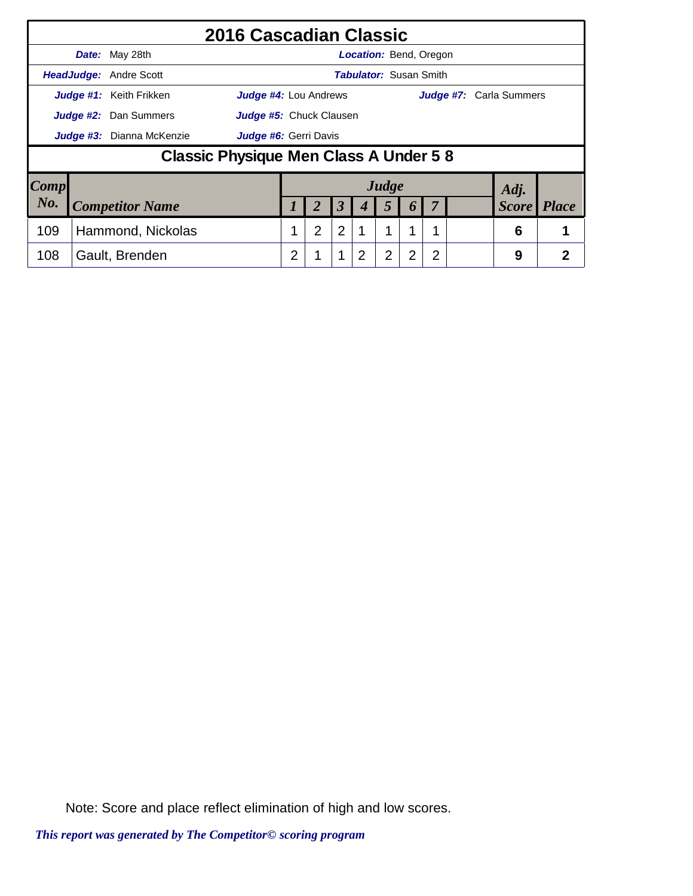|      |                                                           | 2016 Cascadian Classic                 |   |                         |                |                               |       |                  |   |                                |              |
|------|-----------------------------------------------------------|----------------------------------------|---|-------------------------|----------------|-------------------------------|-------|------------------|---|--------------------------------|--------------|
|      | Date: May 28th                                            |                                        |   |                         |                | <b>Location: Bend, Oregon</b> |       |                  |   |                                |              |
|      | <b>HeadJudge: Andre Scott</b>                             |                                        |   |                         |                | <b>Tabulator: Susan Smith</b> |       |                  |   |                                |              |
|      | Judge #1: Keith Frikken                                   | <b>Judge #4: Lou Andrews</b>           |   |                         |                |                               |       |                  |   | <b>Judge #7:</b> Carla Summers |              |
|      | <b>Judge #2:</b> Dan Summers                              |                                        |   | Judge #5: Chuck Clausen |                |                               |       |                  |   |                                |              |
|      | <b>Judge #3:</b> Dianna McKenzie<br>Judge #6: Gerri Davis |                                        |   |                         |                |                               |       |                  |   |                                |              |
|      |                                                           | Classic Physique Men Class A Under 5 8 |   |                         |                |                               |       |                  |   |                                |              |
| Comp |                                                           |                                        |   |                         |                |                               | Judge |                  |   | Adj.                           |              |
| No.  | <b>Competitor Name</b>                                    |                                        |   |                         | 3              |                               | 5     | $\boldsymbol{0}$ |   | <b>Score</b>                   | <b>Place</b> |
| 109  | Hammond, Nickolas                                         |                                        |   | $\overline{2}$          | $\overline{2}$ |                               |       |                  |   | 6                              |              |
| 108  | Gault, Brenden                                            |                                        | 2 |                         | 1              |                               | 2     | 2                | 2 | 9                              | 2            |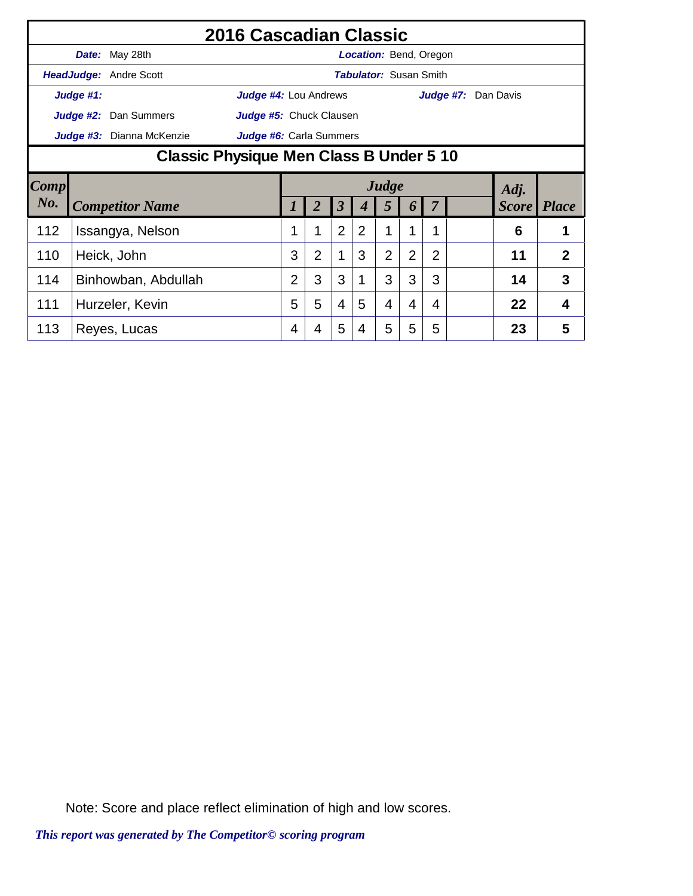|        |           |                                         | 2016 Cascadian Classic  |                |                |                |                               |                |                |                |                     |              |                |
|--------|-----------|-----------------------------------------|-------------------------|----------------|----------------|----------------|-------------------------------|----------------|----------------|----------------|---------------------|--------------|----------------|
|        |           | Date: May 28th                          |                         |                |                |                | Location: Bend, Oregon        |                |                |                |                     |              |                |
|        |           | HeadJudge: Andre Scott                  |                         |                |                |                | <b>Tabulator: Susan Smith</b> |                |                |                |                     |              |                |
|        | Judge #1: |                                         | Judge #4: Lou Andrews   |                |                |                |                               |                |                |                | Judge #7: Dan Davis |              |                |
|        |           | <b>Judge #2:</b> Dan Summers            | Judge #5: Chuck Clausen |                |                |                |                               |                |                |                |                     |              |                |
|        |           | Judge #3: Dianna McKenzie               | Judge #6: Carla Summers |                |                |                |                               |                |                |                |                     |              |                |
|        |           | Classic Physique Men Class B Under 5 10 |                         |                |                |                |                               |                |                |                |                     |              |                |
| Comp   |           |                                         | Judge<br>Adj.           |                |                |                |                               |                |                |                |                     |              |                |
| $N0$ . |           | <b>Competitor Name</b>                  |                         |                | 2              | 3              |                               | 5              | 6              |                |                     | <b>Score</b> | <i>Place</i>   |
| 112    |           | Issangya, Nelson                        |                         |                | 1              | $\overline{2}$ | 2                             |                |                |                |                     | 6            |                |
| 110    |           | Heick, John                             |                         | 3              | $\overline{2}$ | 1              | 3                             | $\overline{2}$ | $\overline{2}$ | $\overline{2}$ |                     | 11           | $\overline{2}$ |
| 114    |           |                                         |                         | $\overline{2}$ | 3              | 3              |                               | 3              | 3              | 3              |                     | 14           | 3              |
|        |           | Binhowban, Abdullah                     |                         |                |                |                |                               |                |                |                |                     |              |                |
| 111    |           | Hurzeler, Kevin                         |                         | 5              | 5              | $\overline{4}$ | 5                             | 4              | 4              | 4              |                     | 22           | 4              |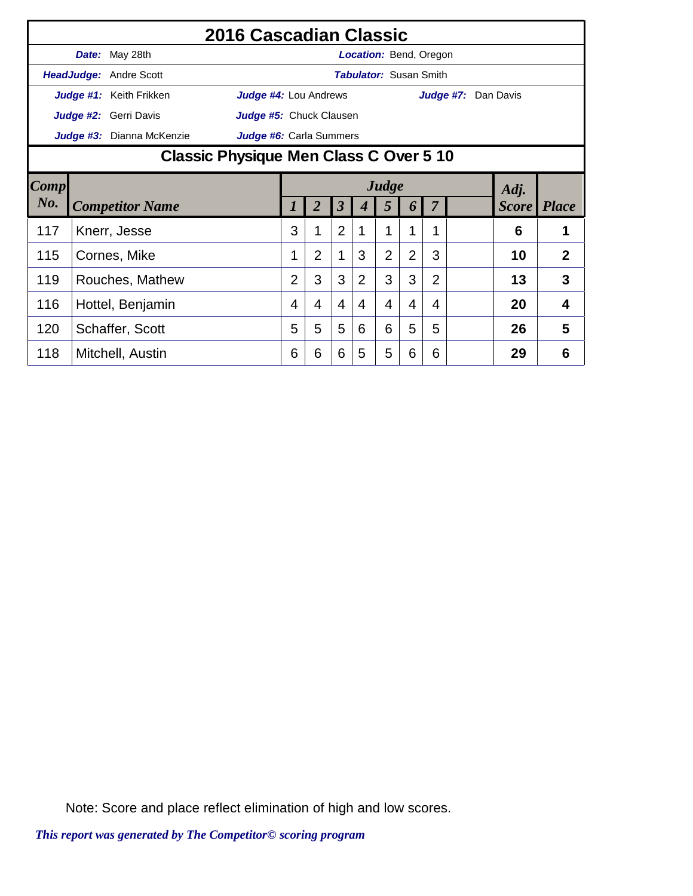|        |                                        |                           | 2016 Cascadian Classic  |                |                |                         |                |                               |                |   |                     |    |                    |
|--------|----------------------------------------|---------------------------|-------------------------|----------------|----------------|-------------------------|----------------|-------------------------------|----------------|---|---------------------|----|--------------------|
|        |                                        | Date: May 28th            |                         |                |                |                         |                | <b>Location: Bend, Oregon</b> |                |   |                     |    |                    |
|        |                                        | HeadJudge: Andre Scott    |                         |                |                |                         |                | <b>Tabulator: Susan Smith</b> |                |   |                     |    |                    |
|        |                                        | Judge #1: Keith Frikken   | Judge #4: Lou Andrews   |                |                |                         |                |                               |                |   | Judge #7: Dan Davis |    |                    |
|        |                                        | Judge #2: Gerri Davis     | Judge #5: Chuck Clausen |                |                |                         |                |                               |                |   |                     |    |                    |
|        |                                        | Judge #3: Dianna McKenzie | Judge #6: Carla Summers |                |                |                         |                |                               |                |   |                     |    |                    |
|        | Classic Physique Men Class C Over 5 10 |                           |                         |                |                |                         |                |                               |                |   |                     |    |                    |
| Comp   | Judge<br>Adj.                          |                           |                         |                |                |                         |                |                               |                |   |                     |    |                    |
| $N0$ . |                                        | <b>Competitor Name</b>    |                         |                | $\overline{2}$ | $\overline{\mathbf{3}}$ |                | 5                             | 6              | 7 |                     |    | <b>Score</b> Place |
| 117    |                                        | Knerr, Jesse              |                         | 3              | 1              | $\overline{2}$          | 1              | 1                             | 1              |   |                     | 6  | 1                  |
| 115    |                                        | Cornes, Mike              |                         |                | $\overline{2}$ | 1                       | 3              | $\overline{2}$                | $\overline{2}$ | 3 |                     | 10 | $\overline{2}$     |
| 119    |                                        |                           |                         | $\overline{2}$ | 3              | 3                       | $\overline{2}$ | 3                             | 3              | 2 |                     | 13 | 3                  |
| 116    | Rouches, Mathew<br>Hottel, Benjamin    |                           |                         | 4              | 4              | $\overline{4}$          | 4              | 4                             | 4              | 4 |                     | 20 | 4                  |
| 120    |                                        | Schaffer, Scott           |                         | 5              | 5              | 5                       | 6              | 6                             | 5              | 5 |                     | 26 | 5                  |
| 118    |                                        | Mitchell, Austin          |                         | 6              | 6              | 6                       | 5              | 5                             | 6              | 6 |                     | 29 | 6                  |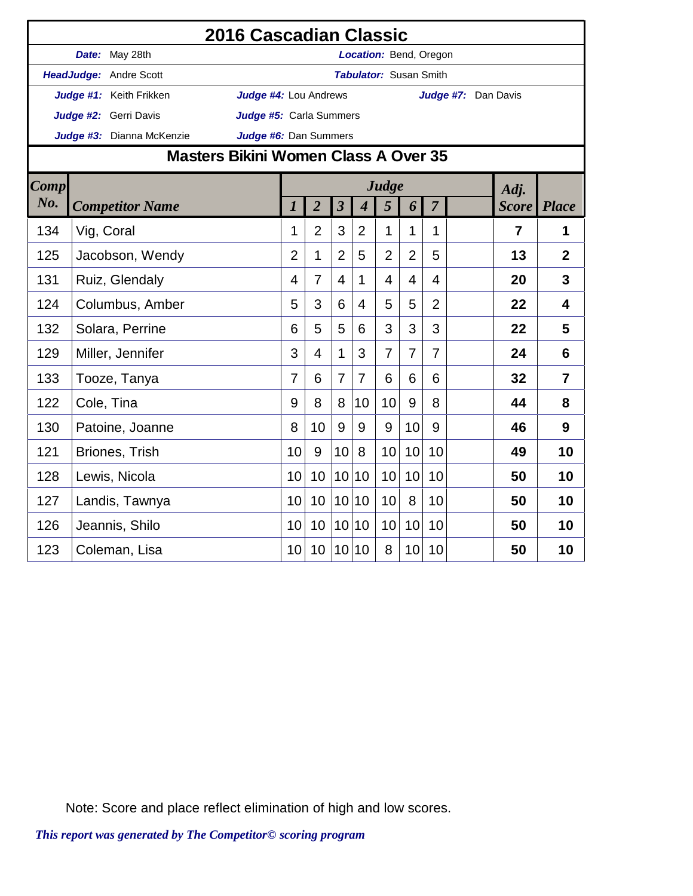|             |            |                           | 2016 Cascadian Classic                      |                  |                |                 |                             |                               |                |                |                     |                |                |
|-------------|------------|---------------------------|---------------------------------------------|------------------|----------------|-----------------|-----------------------------|-------------------------------|----------------|----------------|---------------------|----------------|----------------|
|             |            | Date: May 28th            |                                             |                  |                |                 |                             | Location: Bend, Oregon        |                |                |                     |                |                |
|             |            | HeadJudge: Andre Scott    |                                             |                  |                |                 |                             | <b>Tabulator: Susan Smith</b> |                |                |                     |                |                |
|             |            | Judge #1: Keith Frikken   | Judge #4: Lou Andrews                       |                  |                |                 |                             |                               |                |                | Judge #7: Dan Davis |                |                |
|             |            | Judge #2: Gerri Davis     | Judge #5: Carla Summers                     |                  |                |                 |                             |                               |                |                |                     |                |                |
|             |            | Judge #3: Dianna McKenzie | Judge #6: Dan Summers                       |                  |                |                 |                             |                               |                |                |                     |                |                |
|             |            |                           | <b>Masters Bikini Women Class A Over 35</b> |                  |                |                 |                             |                               |                |                |                     |                |                |
| <b>Comp</b> |            |                           |                                             |                  |                |                 |                             | Judge                         |                |                |                     | Adj.           |                |
| No.         |            | <b>Competitor Name</b>    |                                             | $\boldsymbol{l}$ | $\overline{2}$ | $\mathfrak{z}$  | $\overline{\boldsymbol{4}}$ | 5                             | 6              | $\overline{7}$ |                     | <b>Score</b>   | <b>Place</b>   |
| 134         | Vig, Coral |                           |                                             | 1                | $\overline{2}$ | 3               | $\overline{2}$              | 1                             | 1              | 1              |                     | $\overline{7}$ | 1              |
| 125         |            | Jacobson, Wendy           |                                             | $\overline{2}$   | 1              | $\overline{2}$  | 5                           | $\overline{2}$                | $\overline{2}$ | 5              |                     | 13             | $\overline{2}$ |
| 131         |            | Ruiz, Glendaly            |                                             | 4                | $\overline{7}$ | $\overline{4}$  | $\mathbf{1}$                | $\overline{4}$                | 4              | $\overline{4}$ |                     | 20             | 3              |
| 124         |            | Columbus, Amber           |                                             | 5                | 3              | 6               | 4                           | 5                             | 5              | $\overline{2}$ |                     | 22             | $\overline{4}$ |
| 132         |            | Solara, Perrine           |                                             | 6                | 5              | 5               | 6                           | 3                             | 3              | 3              |                     | 22             | 5              |
| 129         |            | Miller, Jennifer          |                                             | 3                | 4              | $\mathbf{1}$    | 3                           | $\overline{7}$                | $\overline{7}$ | $\overline{7}$ |                     | 24             | 6              |
| 133         |            | Tooze, Tanya              |                                             | $\overline{7}$   | 6              | $\overline{7}$  | $\overline{7}$              | 6                             | 6              | 6              |                     | 32             | $\overline{7}$ |
| 122         |            | Cole, Tina                |                                             | 9                | 8              | 8               | 10                          | 10                            | 9              | 8              |                     | 44             | 8              |
| 130         |            | Patoine, Joanne           |                                             | 8                | 10             | 9               | 9                           | 9                             | 10             | 9              |                     | 46             | 9              |
| 121         |            | Briones, Trish            |                                             | 10               | 9              | 10              | 8                           | 10                            | 10             | 10             |                     | 49             | 10             |
| 128         |            | Lewis, Nicola             |                                             | 10               | 10             | 10 <sup>1</sup> | 10                          | 10                            | 10             | 10             |                     | 50             | 10             |
| 127         |            | Landis, Tawnya            |                                             | 10               | 10             | 10 <sup>1</sup> | 10                          | 10                            | 8              | 10             |                     | 50             | 10             |
| 126         |            | Jeannis, Shilo            |                                             | 10               | 10             | 10 <sup>1</sup> | 10                          | 10                            | 10             | 10             |                     | 50             | 10             |
| 123         |            | Coleman, Lisa             |                                             | 10               | 10             | 10 <sup>1</sup> | 10                          | 8                             | 10             | 10             |                     | 50             | 10             |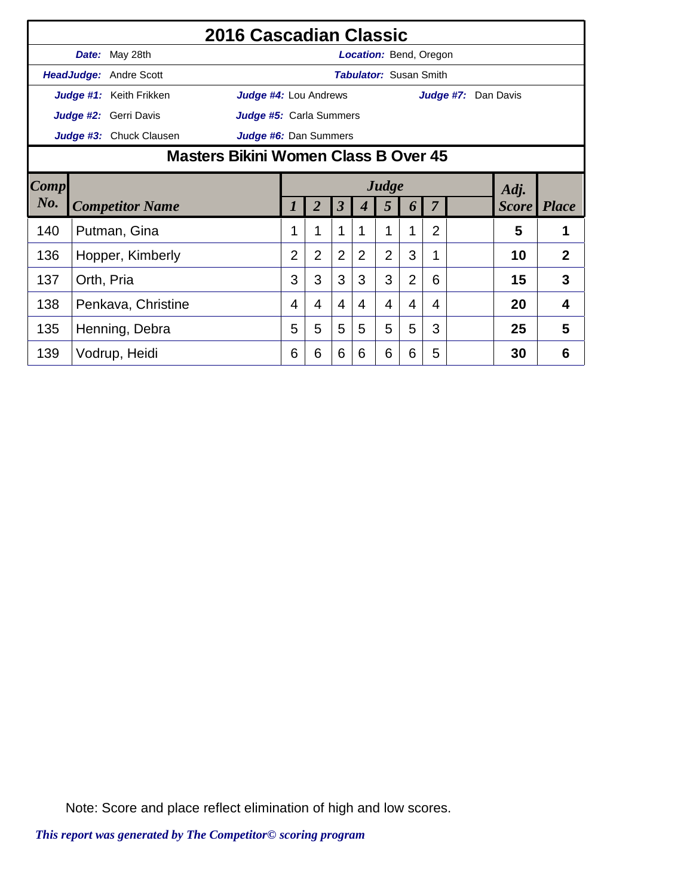|        |                                      |                         | 2016 Cascadian Classic         |                |                |                         |   |                               |                |                |                     |    |                    |
|--------|--------------------------------------|-------------------------|--------------------------------|----------------|----------------|-------------------------|---|-------------------------------|----------------|----------------|---------------------|----|--------------------|
|        |                                      | Date: May 28th          |                                |                |                |                         |   | <b>Location: Bend, Oregon</b> |                |                |                     |    |                    |
|        |                                      | HeadJudge: Andre Scott  |                                |                |                |                         |   | <b>Tabulator: Susan Smith</b> |                |                |                     |    |                    |
|        |                                      | Judge #1: Keith Frikken | Judge #4: Lou Andrews          |                |                |                         |   |                               |                |                | Judge #7: Dan Davis |    |                    |
|        |                                      | Judge #2: Gerri Davis   | <b>Judge #5:</b> Carla Summers |                |                |                         |   |                               |                |                |                     |    |                    |
|        |                                      | Judge #3: Chuck Clausen | Judge #6: Dan Summers          |                |                |                         |   |                               |                |                |                     |    |                    |
|        | Masters Bikini Women Class B Over 45 |                         |                                |                |                |                         |   |                               |                |                |                     |    |                    |
| Comp   |                                      | Judge<br>Adj.           |                                |                |                |                         |   |                               |                |                |                     |    |                    |
| $N0$ . |                                      | <b>Competitor Name</b>  |                                |                | 2              | $\overline{\mathbf{3}}$ |   | 5                             | 6              | $\overline{7}$ |                     |    | <b>Score</b> Place |
| 140    |                                      | Putman, Gina            |                                |                | 1              | 1                       |   |                               | 1              | $\overline{2}$ |                     | 5  | 1                  |
| 136    |                                      | Hopper, Kimberly        |                                | $\overline{2}$ | $\overline{2}$ | 2                       | 2 | $\overline{2}$                | 3              | 1              |                     | 10 | $\overline{2}$     |
| 137    | Orth, Pria                           |                         |                                | 3              | 3              | 3                       | 3 | 3                             | $\overline{2}$ | 6              |                     | 15 | 3                  |
| 138    |                                      | Penkava, Christine      |                                | 4              | 4              | $\overline{4}$          | 4 | 4                             | 4              | 4              |                     | 20 | 4                  |
| 135    |                                      | Henning, Debra          |                                | 5              | 5              | 5                       | 5 | 5                             | 5              | 3              |                     | 25 | 5                  |
| 139    |                                      | Vodrup, Heidi           |                                | 6              | 6              | 6                       | 6 | 6                             | 6              | 5              |                     | 30 | 6                  |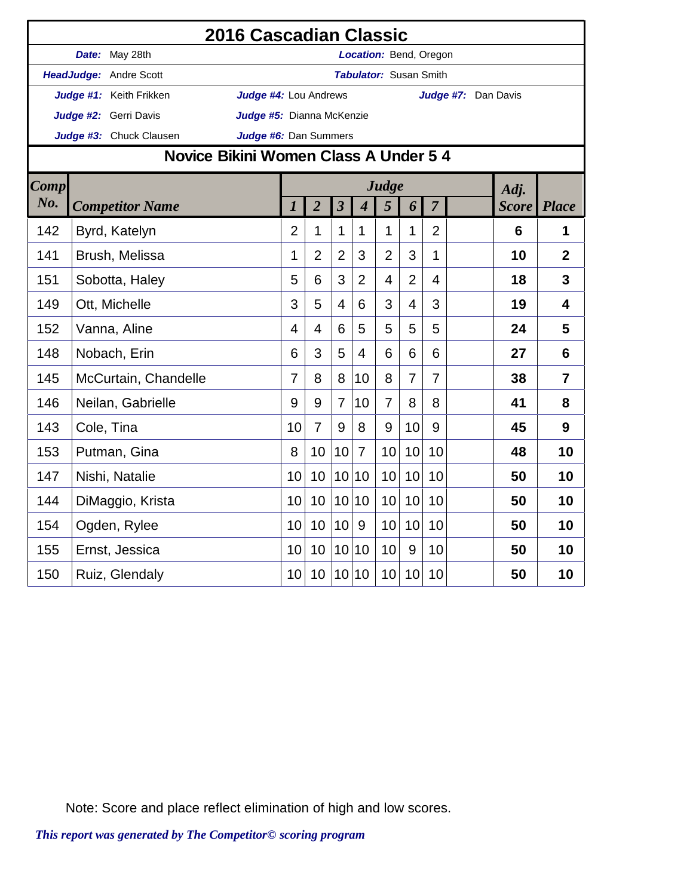|             |                                       | 2016 Cascadian Classic       |                  |                |                         |                  |                               |                |                |                     |              |                |
|-------------|---------------------------------------|------------------------------|------------------|----------------|-------------------------|------------------|-------------------------------|----------------|----------------|---------------------|--------------|----------------|
|             | Date: May 28th                        |                              |                  |                |                         |                  | Location: Bend, Oregon        |                |                |                     |              |                |
|             | HeadJudge: Andre Scott                |                              |                  |                |                         |                  | <b>Tabulator: Susan Smith</b> |                |                |                     |              |                |
|             | Judge #1: Keith Frikken               | <b>Judge #4: Lou Andrews</b> |                  |                |                         |                  |                               |                |                | Judge #7: Dan Davis |              |                |
|             | Judge #2: Gerri Davis                 | Judge #5: Dianna McKenzie    |                  |                |                         |                  |                               |                |                |                     |              |                |
|             | Judge #3: Chuck Clausen               | Judge #6: Dan Summers        |                  |                |                         |                  |                               |                |                |                     |              |                |
|             | Novice Bikini Women Class A Under 5 4 |                              |                  |                |                         |                  |                               |                |                |                     |              |                |
| <b>Comp</b> |                                       |                              |                  |                |                         |                  | Judge                         |                |                |                     | Adj.         |                |
| No.         | <b>Competitor Name</b>                |                              | $\boldsymbol{l}$ | $\overline{2}$ | $\overline{\mathbf{3}}$ | $\boldsymbol{4}$ | 5                             | 6              | $\overline{7}$ |                     | <b>Score</b> | <b>Place</b>   |
| 142         | Byrd, Katelyn                         |                              | $\overline{2}$   | 1              | $\mathbf{1}$            | 1                | 1                             | 1              | $\overline{2}$ |                     | 6            | $\mathbf 1$    |
| 141         | Brush, Melissa                        |                              | 1                | $\overline{2}$ | $\overline{2}$          | 3                | $\overline{2}$                | 3              | 1              |                     | 10           | $\overline{2}$ |
| 151         | Sobotta, Haley                        |                              | 5                | 6              | 3                       | $\overline{2}$   | 4                             | $\overline{2}$ | 4              |                     | 18           | 3              |
| 149         | Ott, Michelle                         |                              | 3                | 5              | $\overline{4}$          | 6                | 3                             | 4              | 3              |                     | 19           | $\overline{4}$ |
| 152         | Vanna, Aline                          |                              | 4                | $\overline{4}$ | 6                       | 5                | 5                             | 5              | 5              |                     | 24           | 5              |
| 148         | Nobach, Erin                          |                              | 6                | 3              | 5                       | 4                | 6                             | 6              | 6              |                     | 27           | 6              |
| 145         | McCurtain, Chandelle                  |                              | 7                | 8              | 8                       | 10               | 8                             | $\overline{7}$ | $\overline{7}$ |                     | 38           | $\overline{7}$ |
| 146         | Neilan, Gabrielle                     |                              | 9                | 9              | $\overline{7}$          | 10               | $\overline{7}$                | 8              | 8              |                     | 41           | 8              |
| 143         | Cole, Tina                            |                              | 10               | $\overline{7}$ | 9                       | 8                | 9                             | 10             | 9              |                     | 45           | 9              |
| 153         | Putman, Gina                          |                              | 8                | 10             | 10                      | $\overline{7}$   | 10                            | 10             | 10             |                     | 48           | 10             |
| 147         | Nishi, Natalie                        |                              | 10               | 10             | 10 <sup>1</sup>         | 10               | 10                            | 10             | 10             |                     | 50           | 10             |
| 144         | DiMaggio, Krista                      |                              | 10               | 10             | 10 <sup>1</sup>         | 10               | 10                            | 10             | 10             |                     | 50           | 10             |
| 154         | Ogden, Rylee                          |                              | 10               | 10             | 10                      | 9                | 10                            | 10             | 10             |                     | 50           | 10             |
| 155         | Ernst, Jessica                        |                              | 10               | 10             | 10 <sup>1</sup>         | 10               | 10                            | 9              | 10             |                     | 50           | 10             |
| 150         | Ruiz, Glendaly                        |                              | 10               | 10             |                         | 10 10            | 10                            | 10             | 10             |                     | 50           | 10             |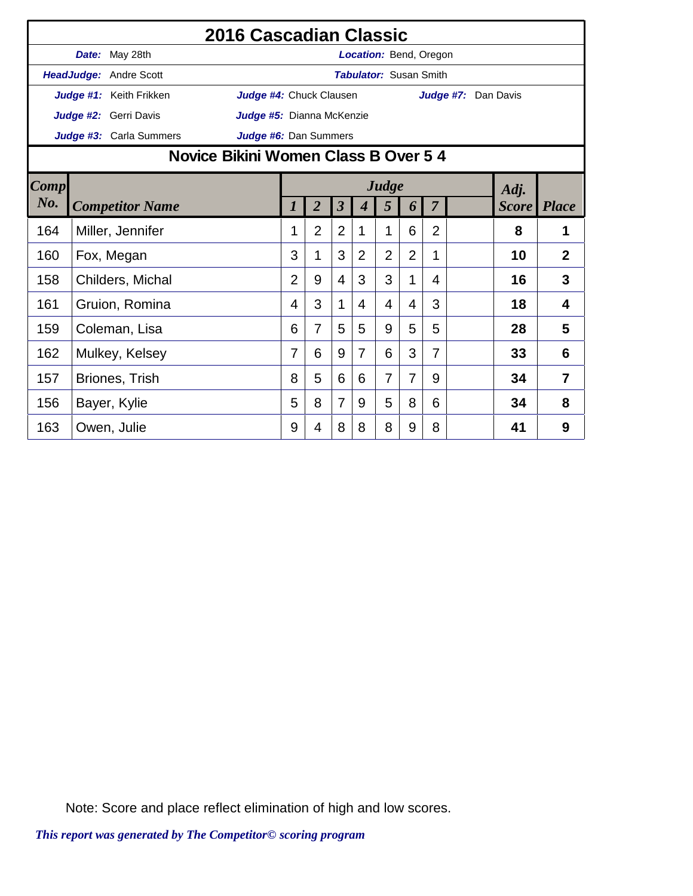|      |       |                                                                                                                                                                          | 2016 Cascadian Classic               |                |                |                |                               |                |                |                |                     |    |                |
|------|-------|--------------------------------------------------------------------------------------------------------------------------------------------------------------------------|--------------------------------------|----------------|----------------|----------------|-------------------------------|----------------|----------------|----------------|---------------------|----|----------------|
|      | Date: | May 28th                                                                                                                                                                 |                                      |                |                |                | <b>Location: Bend, Oregon</b> |                |                |                |                     |    |                |
|      |       | <b>HeadJudge: Andre Scott</b>                                                                                                                                            |                                      |                |                |                | <b>Tabulator: Susan Smith</b> |                |                |                |                     |    |                |
|      |       | Judge #1: Keith Frikken                                                                                                                                                  | Judge #4: Chuck Clausen              |                |                |                |                               |                |                |                | Judge #7: Dan Davis |    |                |
|      |       | Judge #2: Gerri Davis                                                                                                                                                    | Judge #5: Dianna McKenzie            |                |                |                |                               |                |                |                |                     |    |                |
|      |       | <b>Judge #3:</b> Carla Summers                                                                                                                                           | Judge #6: Dan Summers                |                |                |                |                               |                |                |                |                     |    |                |
|      |       |                                                                                                                                                                          | Novice Bikini Women Class B Over 5 4 |                |                |                |                               |                |                |                |                     |    |                |
| Comp |       | Judge<br>Adj.<br>$\overline{2}$<br>$\boldsymbol{\beta}$<br>5<br>7<br><b>Score</b><br><b>Place</b><br><b>Competitor Name</b><br>$\boldsymbol{l}$<br>$\boldsymbol{4}$<br>6 |                                      |                |                |                |                               |                |                |                |                     |    |                |
| No.  |       |                                                                                                                                                                          |                                      |                |                |                |                               |                |                |                |                     |    |                |
| 164  |       | Miller, Jennifer                                                                                                                                                         |                                      | 1              | $\overline{2}$ | $\overline{2}$ | 1                             | 1              | 6              | $\overline{2}$ |                     | 8  | 1              |
| 160  |       | Fox, Megan                                                                                                                                                               |                                      | 3              | 1              | 3              | $\overline{2}$                | $\overline{2}$ | $\overline{2}$ | 1              |                     | 10 | $\overline{2}$ |
| 158  |       | Childers, Michal                                                                                                                                                         |                                      | $\overline{2}$ | 9              | $\overline{4}$ | 3                             | 3              | 1              | 4              |                     | 16 | 3              |
| 161  |       | Gruion, Romina                                                                                                                                                           |                                      | 4              | 3              | $\mathbf 1$    | 4                             | 4              | 4              | 3              |                     | 18 | 4              |
| 159  |       | Coleman, Lisa                                                                                                                                                            |                                      | 6              | 7              | 5              | 5                             | 9              | 5              | 5              |                     | 28 | 5              |
| 162  |       | Mulkey, Kelsey                                                                                                                                                           |                                      | 7              | 6              | 9              | $\overline{7}$                | 6              | 3              | 7              |                     | 33 | 6              |
| 157  |       | Briones, Trish                                                                                                                                                           |                                      | 8              | 5              | 6              | 6                             | $\overline{7}$ | $\overline{7}$ | 9              |                     | 34 | 7              |
| 156  |       | Bayer, Kylie                                                                                                                                                             |                                      | 5              | 8              | $\overline{7}$ | 9                             | 5              | 8              | 6              |                     | 34 | 8              |
| 163  |       | Owen, Julie                                                                                                                                                              |                                      | 9              | 4              | 8              | 8                             | 8              | 9              | 8              |                     | 41 | 9              |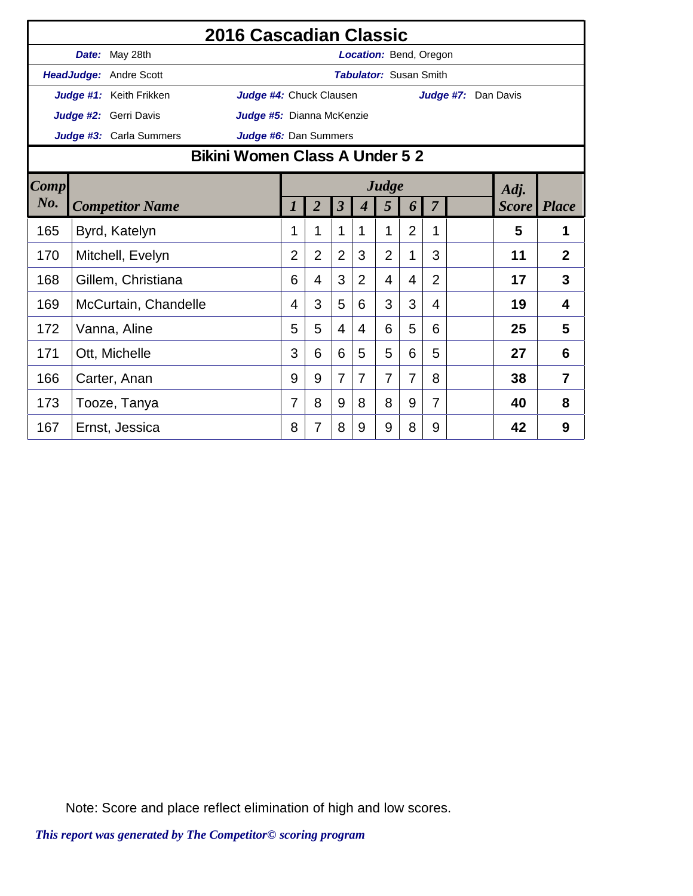|      |                                                                                                                                                       | 2016 Cascadian Classic         |                |                |                |   |                               |                |                |                     |    |                |
|------|-------------------------------------------------------------------------------------------------------------------------------------------------------|--------------------------------|----------------|----------------|----------------|---|-------------------------------|----------------|----------------|---------------------|----|----------------|
|      | Date: May 28th                                                                                                                                        |                                |                |                |                |   | Location: Bend, Oregon        |                |                |                     |    |                |
|      | HeadJudge: Andre Scott                                                                                                                                |                                |                |                |                |   | <b>Tabulator: Susan Smith</b> |                |                |                     |    |                |
|      | Judge #1: Keith Frikken                                                                                                                               | Judge #4: Chuck Clausen        |                |                |                |   |                               |                |                | Judge #7: Dan Davis |    |                |
|      | Judge #2: Gerri Davis                                                                                                                                 | Judge #5: Dianna McKenzie      |                |                |                |   |                               |                |                |                     |    |                |
|      | Judge #3: Carla Summers                                                                                                                               | Judge #6: Dan Summers          |                |                |                |   |                               |                |                |                     |    |                |
|      |                                                                                                                                                       | Bikini Women Class A Under 5 2 |                |                |                |   |                               |                |                |                     |    |                |
| Comp | Judge<br>Adj.<br>$\overline{2}$<br>$\overline{\mathbf{3}}$<br><b>Place</b><br>5<br>$\overline{7}$<br><b>Score</b><br><b>Competitor Name</b><br>4<br>6 |                                |                |                |                |   |                               |                |                |                     |    |                |
| No.  |                                                                                                                                                       |                                |                |                |                |   |                               |                |                |                     |    |                |
| 165  | Byrd, Katelyn                                                                                                                                         |                                | 1              | 1              | 1              | 1 | 1                             | $\overline{2}$ | 1              |                     | 5  | 1              |
| 170  | Mitchell, Evelyn                                                                                                                                      |                                | $\overline{2}$ | $\overline{2}$ | $\overline{2}$ | 3 | $\overline{2}$                | 1              | 3              |                     | 11 | $\overline{2}$ |
| 168  | Gillem, Christiana                                                                                                                                    |                                | 6              | 4              | 3              | 2 | 4                             | 4              | $\overline{2}$ |                     | 17 | 3              |
| 169  | McCurtain, Chandelle                                                                                                                                  |                                | 4              | 3              | 5              | 6 | 3                             | 3              | 4              |                     | 19 | 4              |
| 172  | Vanna, Aline                                                                                                                                          |                                | 5              | 5              | $\overline{4}$ | 4 | 6                             | 5              | 6              |                     | 25 | 5              |
| 171  | Ott, Michelle                                                                                                                                         |                                | 3              | 6              | 6              | 5 | 5                             | 6              | 5              |                     | 27 | 6              |
| 166  | Carter, Anan                                                                                                                                          |                                | 9              | 9              | $\overline{7}$ | 7 | 7                             | 7              | 8              |                     | 38 | 7              |
| 173  | Tooze, Tanya                                                                                                                                          |                                | 7              | 8              | 9              | 8 | 8                             | 9              | 7              |                     | 40 | 8              |
| 167  | Ernst, Jessica                                                                                                                                        |                                | 8              | 7              | 8              | 9 | 9                             | 8              | 9              |                     | 42 | 9              |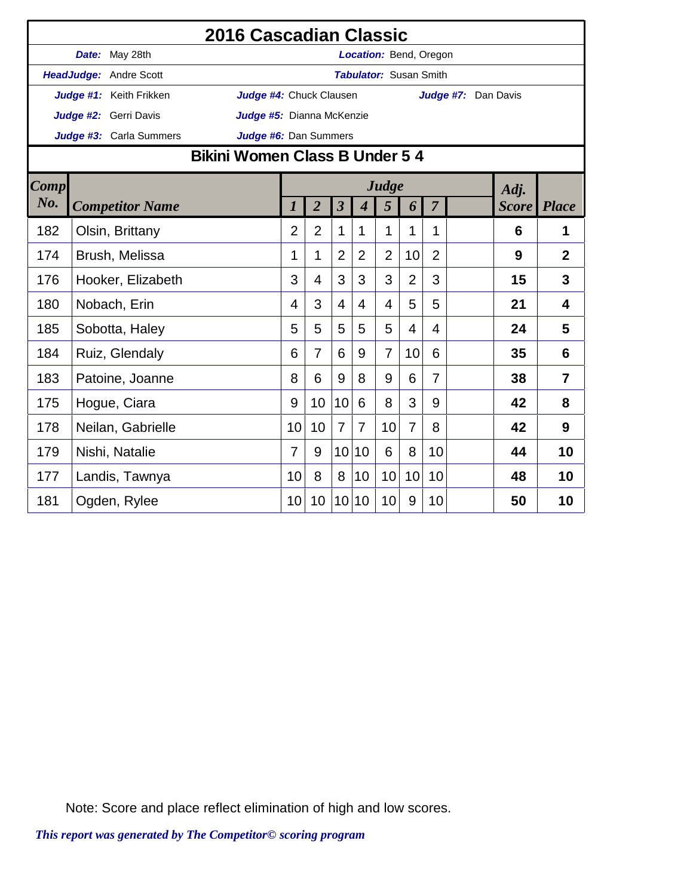|             |                         | 2016 Cascadian Classic         |                |                |                         |                               |                |                |                |                     |              |                |
|-------------|-------------------------|--------------------------------|----------------|----------------|-------------------------|-------------------------------|----------------|----------------|----------------|---------------------|--------------|----------------|
|             | Date: May 28th          |                                |                |                |                         | Location: Bend, Oregon        |                |                |                |                     |              |                |
|             | HeadJudge: Andre Scott  |                                |                |                |                         | <b>Tabulator: Susan Smith</b> |                |                |                |                     |              |                |
|             | Judge #1: Keith Frikken | Judge #4: Chuck Clausen        |                |                |                         |                               |                |                |                | Judge #7: Dan Davis |              |                |
|             | Judge #2: Gerri Davis   | Judge #5: Dianna McKenzie      |                |                |                         |                               |                |                |                |                     |              |                |
|             | Judge #3: Carla Summers | Judge #6: Dan Summers          |                |                |                         |                               |                |                |                |                     |              |                |
|             |                         | Bikini Women Class B Under 5 4 |                |                |                         |                               |                |                |                |                     |              |                |
| <b>Comp</b> |                         |                                |                |                |                         |                               | Judge          |                |                |                     | Adj.         |                |
| No.         | <b>Competitor Name</b>  |                                | 1              | $\overline{2}$ | $\overline{\mathbf{3}}$ | $\overline{\mathcal{A}}$      | 5              | 6              | $\overline{7}$ |                     | <b>Score</b> | <b>Place</b>   |
| 182         | Olsin, Brittany         |                                | $\overline{2}$ | $\overline{2}$ | 1                       | 1                             | 1              | 1              | 1              |                     | 6            | 1              |
| 174         | Brush, Melissa          |                                | 1              | 1              | $\overline{2}$          | $\overline{2}$                | $\overline{2}$ | 10             | $\overline{2}$ |                     | 9            | $\overline{2}$ |
| 176         | Hooker, Elizabeth       |                                | 3              | 4              | 3                       | 3                             | 3              | $\overline{2}$ | 3              |                     | 15           | 3              |
| 180         | Nobach, Erin            |                                | 4              | 3              | $\overline{4}$          | 4                             | 4              | 5              | 5              |                     | 21           | 4              |
| 185         | Sobotta, Haley          |                                | 5              | 5              | 5                       | 5                             | 5              | 4              | 4              |                     | 24           | 5              |
| 184         | Ruiz, Glendaly          |                                | 6              | $\overline{7}$ | 6                       | 9                             | $\overline{7}$ | 10             | 6              |                     | 35           | 6              |
| 183         | Patoine, Joanne         |                                | 8              | 6              | 9                       | 8                             | 9              | 6              | 7              |                     | 38           | $\overline{7}$ |
| 175         | Hogue, Ciara            |                                | 9              | 10             | 10                      | 6                             | 8              | 3              | 9              |                     | 42           | 8              |
| 178         | Neilan, Gabrielle       |                                | 10             | 10             | $\overline{7}$          | $\overline{7}$                | 10             | $\overline{7}$ | 8              |                     | 42           | 9              |
| 179         | Nishi, Natalie          |                                | 7              | 9              | 10                      | 10                            | 6              | 8              | 10             |                     | 44           | 10             |
| 177         | Landis, Tawnya          |                                | 10             | 8              | 8                       | 10                            | 10             | 10             | 10             |                     | 48           | 10             |
| 181         | Ogden, Rylee            |                                | 10             | 10             | 10                      | 10                            | 10             | 9              | 10             |                     | 50           | 10             |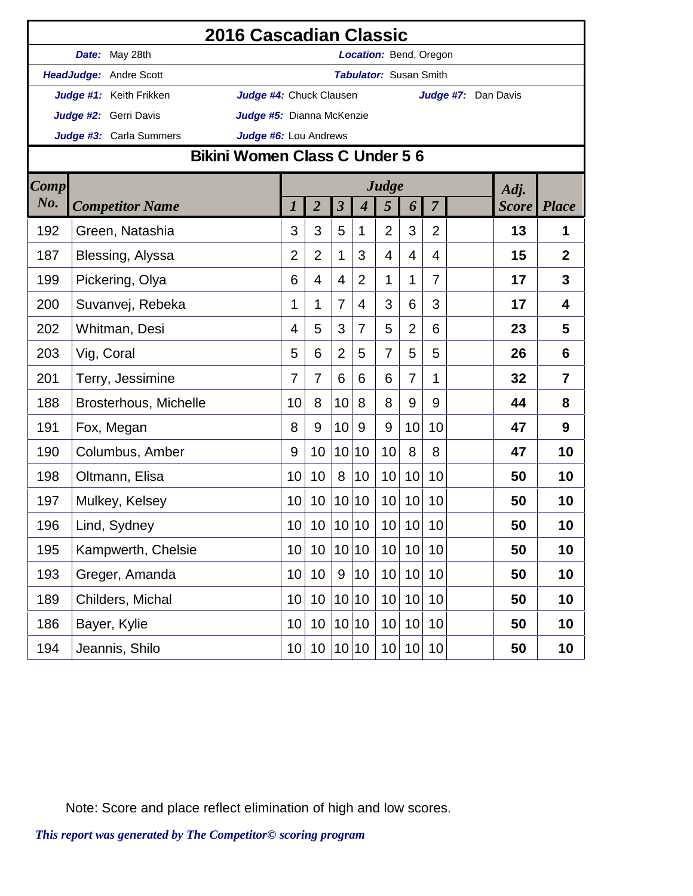|             | 2016 Cascadian Classic         |                           |                 |                         |                          |                               |                |                |                     |              |                |
|-------------|--------------------------------|---------------------------|-----------------|-------------------------|--------------------------|-------------------------------|----------------|----------------|---------------------|--------------|----------------|
|             | Date: May 28th                 |                           |                 |                         |                          | Location: Bend, Oregon        |                |                |                     |              |                |
|             | HeadJudge: Andre Scott         |                           |                 |                         |                          | <b>Tabulator: Susan Smith</b> |                |                |                     |              |                |
|             | Judge #1: Keith Frikken        | Judge #4: Chuck Clausen   |                 |                         |                          |                               |                |                | Judge #7: Dan Davis |              |                |
|             | Judge #2: Gerri Davis          | Judge #5: Dianna McKenzie |                 |                         |                          |                               |                |                |                     |              |                |
|             | Judge #3: Carla Summers        | Judge #6: Lou Andrews     |                 |                         |                          |                               |                |                |                     |              |                |
|             | Bikini Women Class C Under 5 6 |                           |                 |                         |                          |                               |                |                |                     |              |                |
| <b>Comp</b> |                                |                           |                 |                         |                          | Judge                         |                |                |                     | Adj.         |                |
| No.         | <b>Competitor Name</b>         | 1                         | $\overline{2}$  | $\overline{\mathbf{3}}$ | $\overline{\mathcal{A}}$ | 5                             | 6              | $\overline{7}$ |                     | <i>Score</i> | <b>Place</b>   |
| 192         | Green, Natashia                | 3                         | 3               | 5                       | 1                        | $\overline{2}$                | 3              | $\overline{2}$ |                     | 13           | 1              |
| 187         | Blessing, Alyssa               | $\overline{2}$            | $\overline{2}$  | 1                       | 3                        | 4                             | 4              | 4              |                     | 15           | $\overline{2}$ |
| 199         | Pickering, Olya                | 6                         | 4               | $\overline{4}$          | 2                        | 1                             | 1              | 7              |                     | 17           | 3              |
| 200         | Suvanvej, Rebeka               | 1                         | 1               | 7                       | 4                        | 3                             | 6              | 3              |                     | 17           | $\overline{4}$ |
| 202         | Whitman, Desi                  | $\overline{4}$            | 5               | 3                       | $\overline{7}$           | 5                             | $\overline{2}$ | 6              |                     | 23           | 5              |
| 203         | Vig, Coral                     | 5                         | 6               | $\overline{2}$          | 5                        | 7                             | 5              | 5              |                     | 26           | 6              |
| 201         | Terry, Jessimine               | 7                         | $\overline{7}$  | 6                       | 6                        | 6                             | 7              | 1              |                     | 32           | $\overline{7}$ |
| 188         | <b>Brosterhous, Michelle</b>   | 10                        | 8               | 10                      | 8                        | 8                             | 9              | 9              |                     | 44           | 8              |
| 191         | Fox, Megan                     | 8                         | 9               | 10                      | 9                        | 9                             | 10             | 10             |                     | 47           | 9              |
| 190         | Columbus, Amber                | 9                         | 10              | 10                      | 10                       | 10                            | 8              | 8              |                     | 47           | 10             |
| 198         | Oltmann, Elisa                 | 10                        | 10              | 8                       | 10                       | 10                            | 10             | 10             |                     | 50           | 10             |
| 197         | Mulkey, Kelsey                 | 10                        | 10              |                         | 10 10                    | 10                            | 10             | 10             |                     | 50           | 10             |
| 196         | Lind, Sydney                   | 10                        | 10              |                         | 10 10                    | $10$                          | 10             | $10$           |                     | 50           | 10             |
| 195         | Kampwerth, Chelsie             | 10                        | 10              |                         | 10 10                    | 10                            | 10             | 10             |                     | 50           | 10             |
| 193         | Greger, Amanda                 | 10                        | 10 <sup>°</sup> | 9                       | 10                       | 10                            | 10             | 10             |                     | 50           | 10             |
| 189         | Childers, Michal               | 10                        | 10              | 10                      | 10                       | 10                            | 10             | 10             |                     | 50           | 10             |
| 186         | Bayer, Kylie                   | 10                        | 10              |                         | 10 10                    | 10                            | 10             | 10             |                     | 50           | 10             |
| 194         | Jeannis, Shilo                 | 10                        | 10              |                         | 10 10                    | 10                            | 10             | 10             |                     | 50           | 10             |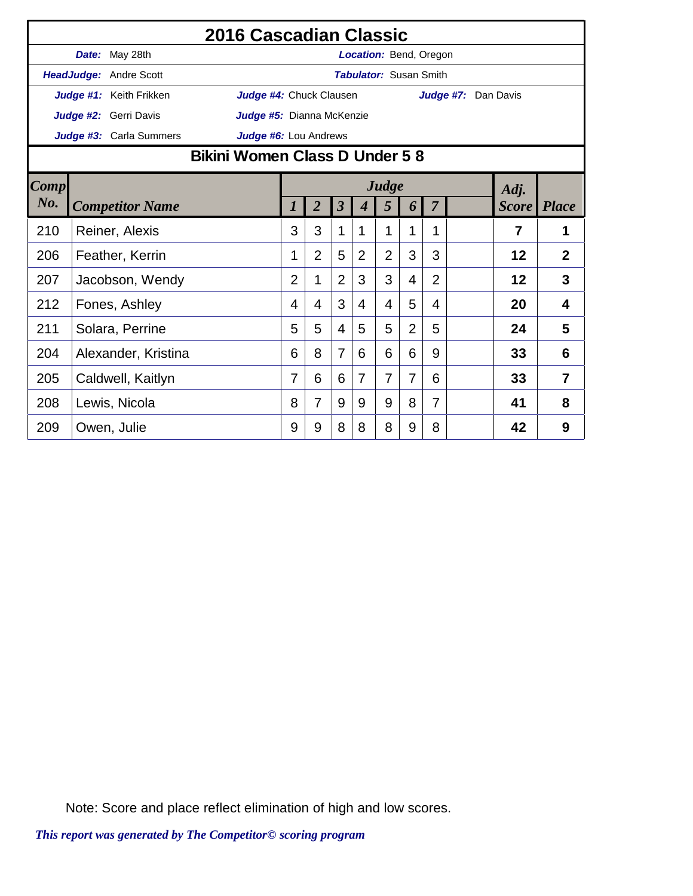|             |                                                                                                                           | 2016 Cascadian Classic         |                |                |                |                               |                |                |                |                     |                |                |
|-------------|---------------------------------------------------------------------------------------------------------------------------|--------------------------------|----------------|----------------|----------------|-------------------------------|----------------|----------------|----------------|---------------------|----------------|----------------|
|             | Date: May 28th                                                                                                            |                                |                |                |                | Location: Bend, Oregon        |                |                |                |                     |                |                |
|             | HeadJudge: Andre Scott                                                                                                    |                                |                |                |                | <b>Tabulator: Susan Smith</b> |                |                |                |                     |                |                |
|             | Judge #1: Keith Frikken                                                                                                   | Judge #4: Chuck Clausen        |                |                |                |                               |                |                |                | Judge #7: Dan Davis |                |                |
|             | Judge #2: Gerri Davis                                                                                                     | Judge #5: Dianna McKenzie      |                |                |                |                               |                |                |                |                     |                |                |
|             | Judge #3: Carla Summers                                                                                                   | Judge #6: Lou Andrews          |                |                |                |                               |                |                |                |                     |                |                |
|             |                                                                                                                           | Bikini Women Class D Under 5 8 |                |                |                |                               |                |                |                |                     |                |                |
| <b>Comp</b> | Judge<br>$\overline{2}$<br>$\overline{\mathbf{3}}$<br>$\overline{7}$<br>5<br><b>Competitor Name</b><br>4<br>$\prime$<br>6 |                                |                |                |                |                               |                | Adj.           |                |                     |                |                |
| No.         |                                                                                                                           |                                |                |                |                |                               |                |                |                |                     | <b>Score</b>   | <b>Place</b>   |
| 210         | Reiner, Alexis                                                                                                            |                                | 3              | 3              | 1              | 1                             | 1              | 1              | 1              |                     | $\overline{7}$ | 1              |
| 206         | Feather, Kerrin                                                                                                           |                                | 1              | $\overline{2}$ | 5              | $\overline{2}$                | $\overline{2}$ | 3              | 3              |                     | 12             | $\overline{2}$ |
| 207         | Jacobson, Wendy                                                                                                           |                                | $\overline{2}$ | 1              | $\overline{2}$ | 3                             | 3              | $\overline{4}$ | $\overline{2}$ |                     | 12             | 3              |
| 212         | Fones, Ashley                                                                                                             |                                | 4              | 4              | 3              | 4                             | 4              | 5              | 4              |                     | 20             | 4              |
| 211         | Solara, Perrine                                                                                                           |                                | 5              | 5              | 4              | 5                             | 5              | $\overline{2}$ | 5              |                     | 24             | 5              |
| 204         | Alexander, Kristina                                                                                                       |                                | 6              | 8              | $\overline{7}$ | 6                             | 6              | 6              | 9              |                     | 33             | 6              |
| 205         | Caldwell, Kaitlyn                                                                                                         |                                | 7              | 6              | 6              | $\overline{7}$                | $\overline{7}$ | $\overline{7}$ | 6              |                     | 33             | 7              |
| 208         | Lewis, Nicola                                                                                                             |                                | 8              | 7              | 9              | 9                             | 9              | 8              | 7              |                     | 41             | 8              |
| 209         | Owen, Julie                                                                                                               |                                | 9              | 9              | 8              | 8                             | 8              | 9              | 8              |                     | 42             | 9              |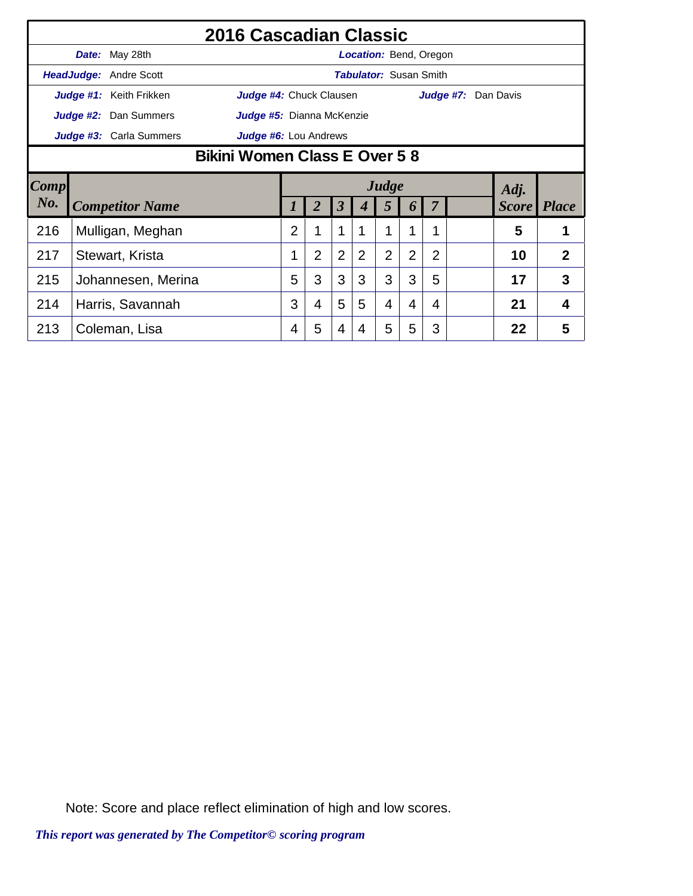|                        |                               | 2016 Cascadian Classic    |   |                |                |   |                |                               |                |                     |              |                |
|------------------------|-------------------------------|---------------------------|---|----------------|----------------|---|----------------|-------------------------------|----------------|---------------------|--------------|----------------|
|                        | Date: May 28th                |                           |   |                |                |   |                | <b>Location: Bend, Oregon</b> |                |                     |              |                |
|                        | <b>HeadJudge: Andre Scott</b> |                           |   |                |                |   |                | <b>Tabulator: Susan Smith</b> |                |                     |              |                |
|                        | Judge #1: Keith Frikken       | Judge #4: Chuck Clausen   |   |                |                |   |                |                               |                | Judge #7: Dan Davis |              |                |
|                        | Judge #2: Dan Summers         | Judge #5: Dianna McKenzie |   |                |                |   |                |                               |                |                     |              |                |
|                        | Judge #3: Carla Summers       | Judge #6: Lou Andrews     |   |                |                |   |                |                               |                |                     |              |                |
|                        | Bikini Women Class E Over 58  |                           |   |                |                |   |                |                               |                |                     |              |                |
| $\lfloor Comp \rfloor$ |                               | Judge<br>Adj.             |   |                |                |   |                |                               |                |                     |              |                |
| No.                    | <b>Competitor Name</b>        |                           |   |                | 3              |   | 5              | 6                             |                |                     | <b>Score</b> | <i>Place</i>   |
| 216                    | Mulligan, Meghan              |                           | 2 | 1              |                |   |                | 4                             | 1              |                     | 5            |                |
| 217                    | Stewart, Krista               |                           |   | $\overline{2}$ | $\overline{2}$ | 2 | $\overline{2}$ | $\overline{2}$                | $\overline{2}$ |                     | 10           | $\overline{2}$ |
| 215                    | Johannesen, Merina            |                           | 5 | 3              | 3              | 3 | 3              | 3                             | 5              |                     | 17           | 3              |
| 214                    | Harris, Savannah              |                           | 3 | 4              | 5              | 5 | $\overline{4}$ | 4                             | 4              |                     | 21           | 4              |
|                        |                               |                           |   |                |                |   |                |                               |                |                     |              |                |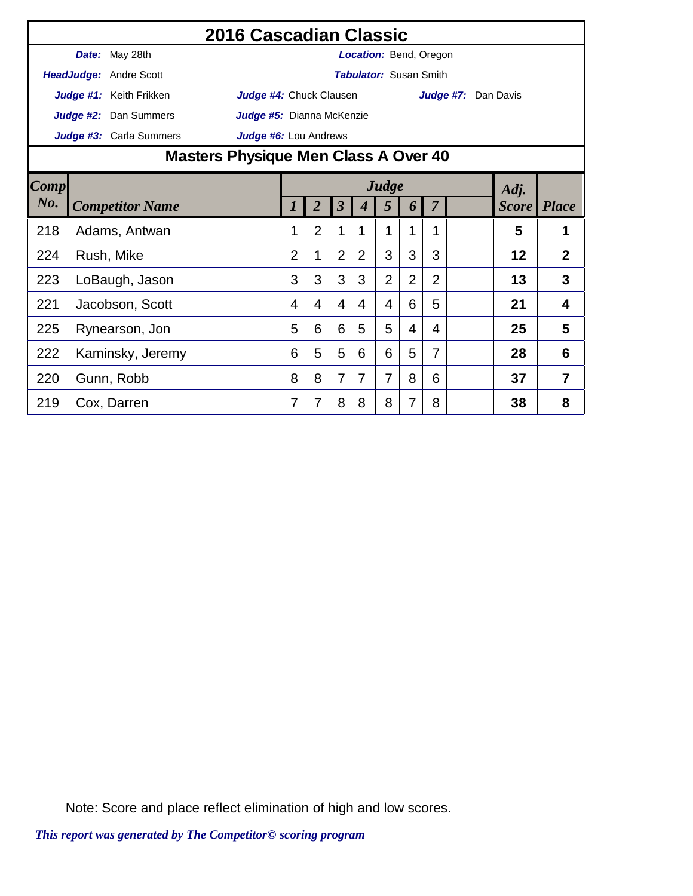|      |                               | 2016 Cascadian Classic                        |                |                |                         |                               |                |                |                |                     |              |                |
|------|-------------------------------|-----------------------------------------------|----------------|----------------|-------------------------|-------------------------------|----------------|----------------|----------------|---------------------|--------------|----------------|
|      | Date: May 28th                |                                               |                |                |                         | <b>Location: Bend, Oregon</b> |                |                |                |                     |              |                |
|      | <b>HeadJudge: Andre Scott</b> |                                               |                |                |                         | <b>Tabulator: Susan Smith</b> |                |                |                |                     |              |                |
|      | Judge #1: Keith Frikken       | Judge #4: Chuck Clausen                       |                |                |                         |                               |                |                |                | Judge #7: Dan Davis |              |                |
|      | Judge #2: Dan Summers         | Judge #5: Dianna McKenzie                     |                |                |                         |                               |                |                |                |                     |              |                |
|      | Judge #3: Carla Summers       | Judge #6: Lou Andrews                         |                |                |                         |                               |                |                |                |                     |              |                |
|      |                               | Masters Physique Men Class A Over 40<br>Judge |                |                |                         |                               |                |                |                |                     |              |                |
| Comp |                               |                                               |                |                |                         |                               |                |                |                |                     | Adj.         |                |
| No.  | <b>Competitor Name</b>        |                                               | 1              | $\overline{2}$ | $\overline{\mathbf{3}}$ | 4                             | 5              | 6              | 7              |                     | <i>Score</i> | <i>Place</i>   |
| 218  | Adams, Antwan                 |                                               | 1              | $\overline{2}$ | 1                       | 1                             | 1              | 1              | 1              |                     | 5            | 1              |
| 224  | Rush, Mike                    |                                               | $\overline{2}$ | 1              | $\overline{2}$          | 2                             | 3              | 3              | 3              |                     | 12           | $\overline{2}$ |
| 223  | LoBaugh, Jason                |                                               | 3              | 3              | 3                       | 3                             | $\overline{2}$ | $\overline{2}$ | $\overline{2}$ |                     | 13           | 3              |
| 221  | Jacobson, Scott               |                                               | 4              | 4              | 4                       | 4                             | 4              | 6              | 5              |                     | 21           | 4              |
| 225  | Rynearson, Jon                |                                               | 5              | 6              | 6                       | 5                             | 5              | 4              | 4              |                     | 25           | 5              |
| 222  | Kaminsky, Jeremy              |                                               | 6              | 5              | 5                       | 6                             | 6              | 5              | 7              |                     | 28           | 6              |
| 220  | Gunn, Robb                    |                                               | 8              | 8              | 7                       | 7                             | 7              | 8              | 6              |                     | 37           | 7              |
| 219  | Cox, Darren                   |                                               | 7              | 7              | 8                       | 8                             | 8              | 7              | 8              |                     | 38           | 8              |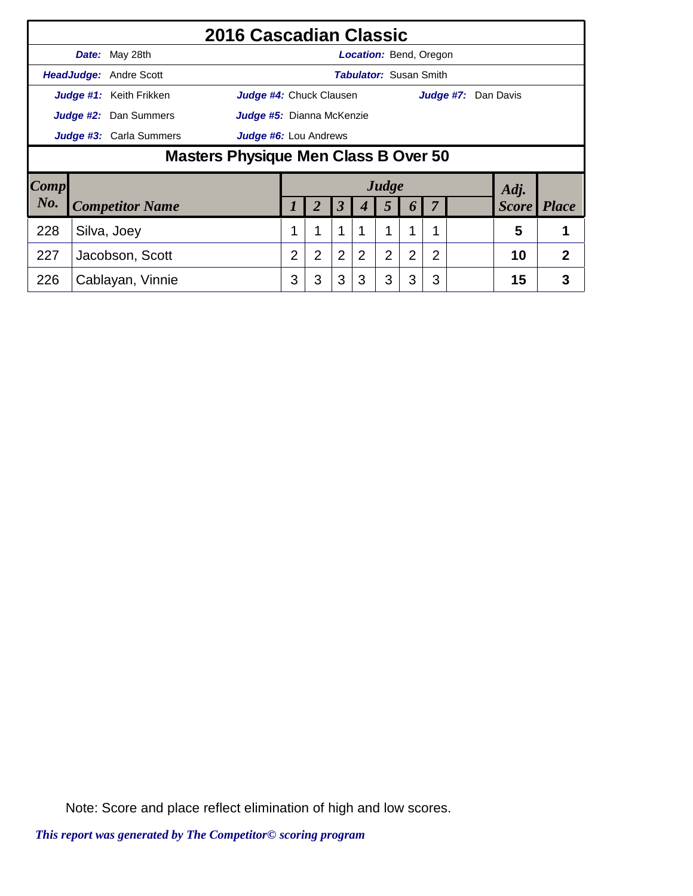|                                                           | 2016 Cascadian Classic               |                               |                       |                               |                      |   |   |                |   |                            |              |                |  |
|-----------------------------------------------------------|--------------------------------------|-------------------------------|-----------------------|-------------------------------|----------------------|---|---|----------------|---|----------------------------|--------------|----------------|--|
|                                                           |                                      | Date: May 28th                |                       | <b>Location: Bend, Oregon</b> |                      |   |   |                |   |                            |              |                |  |
| <b>HeadJudge: Andre Scott</b>                             |                                      | <b>Tabulator:</b> Susan Smith |                       |                               |                      |   |   |                |   |                            |              |                |  |
| Judge #1: Keith Frikken<br><b>Judge #4:</b> Chuck Clausen |                                      |                               |                       |                               |                      |   |   |                |   | <b>Judge #7:</b> Dan Davis |              |                |  |
| Judge #2: Dan Summers<br>Judge #5: Dianna McKenzie        |                                      |                               |                       |                               |                      |   |   |                |   |                            |              |                |  |
|                                                           | Judge #3: Carla Summers              |                               | Judge #6: Lou Andrews |                               |                      |   |   |                |   |                            |              |                |  |
|                                                           | Masters Physique Men Class B Over 50 |                               |                       |                               |                      |   |   |                |   |                            |              |                |  |
| Comp                                                      |                                      |                               |                       | Judge                         |                      |   |   |                |   |                            | Adj.         |                |  |
| No.                                                       |                                      | <b>Competitor Name</b>        |                       |                               | $\boldsymbol{\beta}$ | 4 | 5 | 6              |   |                            | <b>Score</b> | <b>Place</b>   |  |
| 228                                                       |                                      | Silva, Joey                   | 1                     | 1                             | 1                    | 1 | 1 | 1              |   |                            | 5            |                |  |
| 227                                                       |                                      | Jacobson, Scott               | $\overline{2}$        | $\overline{2}$                | $\overline{2}$       | 2 | 2 | $\overline{2}$ | 2 |                            | 10           | $\overline{2}$ |  |
| 226<br>Cablayan, Vinnie                                   |                                      |                               | 3                     | 3                             | 3                    | 3 | 3 | 3              | 3 |                            | 15           | 3              |  |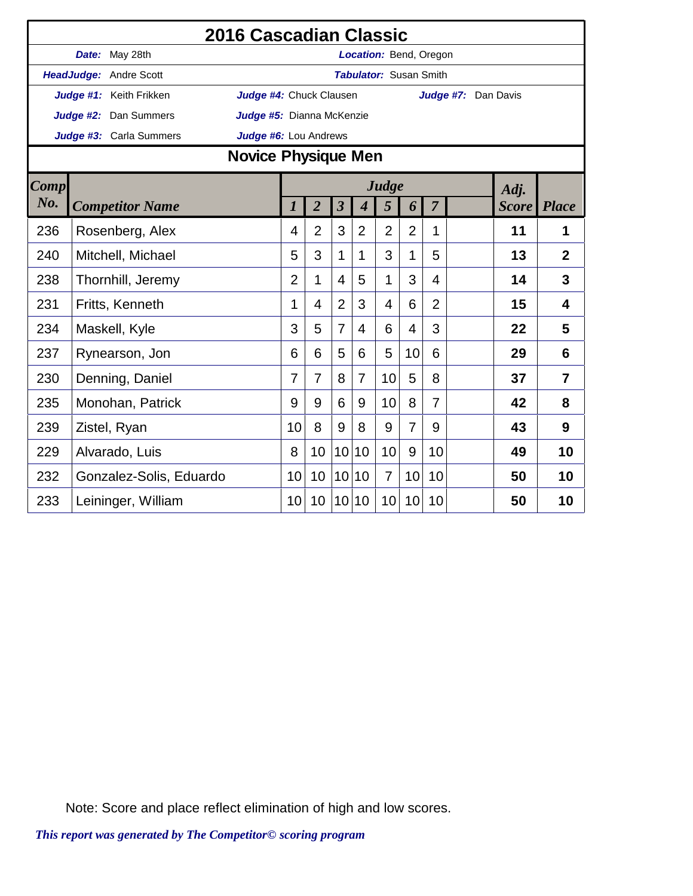|             | 2016 Cascadian Classic                           |                         |  |                                                |                           |                         |                          |                        |                |                |  |              |                |  |  |  |
|-------------|--------------------------------------------------|-------------------------|--|------------------------------------------------|---------------------------|-------------------------|--------------------------|------------------------|----------------|----------------|--|--------------|----------------|--|--|--|
|             |                                                  | Date: May 28th          |  |                                                |                           |                         |                          | Location: Bend, Oregon |                |                |  |              |                |  |  |  |
|             |                                                  | HeadJudge: Andre Scott  |  | <b>Tabulator: Susan Smith</b>                  |                           |                         |                          |                        |                |                |  |              |                |  |  |  |
|             |                                                  | Judge #1: Keith Frikken |  | Judge #4: Chuck Clausen<br>Judge #7: Dan Davis |                           |                         |                          |                        |                |                |  |              |                |  |  |  |
|             | Judge #2: Dan Summers                            |                         |  |                                                | Judge #5: Dianna McKenzie |                         |                          |                        |                |                |  |              |                |  |  |  |
|             | Judge #6: Lou Andrews<br>Judge #3: Carla Summers |                         |  |                                                |                           |                         |                          |                        |                |                |  |              |                |  |  |  |
|             | Novice Physique Men                              |                         |  |                                                |                           |                         |                          |                        |                |                |  |              |                |  |  |  |
| <b>Comp</b> |                                                  |                         |  |                                                |                           |                         |                          | Judge                  |                |                |  | Adj.         |                |  |  |  |
| No.         |                                                  | <b>Competitor Name</b>  |  | $\boldsymbol{l}$                               | $\overline{2}$            | $\overline{\mathbf{3}}$ | $\overline{\mathcal{A}}$ | 5                      | 6              | $\overline{7}$ |  | <b>Score</b> | <i>Place</i>   |  |  |  |
| 236         |                                                  | Rosenberg, Alex         |  | 4                                              | $\overline{2}$            | 3                       | $\overline{2}$           | $\overline{2}$         | $\overline{2}$ | $\mathbf 1$    |  | 11           | 1              |  |  |  |
| 240         |                                                  | Mitchell, Michael       |  |                                                |                           | $\mathbf{1}$            | 1                        | 3                      | 1              | 5              |  | 13           | $\overline{2}$ |  |  |  |
| 238         |                                                  | Thornhill, Jeremy       |  | $\overline{2}$                                 | 1                         | $\overline{4}$          | 5                        | 1                      | 3              | 4              |  | 14           | 3              |  |  |  |
| 231         |                                                  | Fritts, Kenneth         |  | 1                                              | 4                         | $\overline{2}$          | 3                        | 4                      | 6              | $\overline{2}$ |  | 15           | $\overline{4}$ |  |  |  |
| 234         |                                                  | Maskell, Kyle           |  | 3                                              | 5                         | $\overline{7}$          | 4                        | 6                      | 4              | 3              |  | 22           | 5              |  |  |  |
| 237         |                                                  | Rynearson, Jon          |  | 6                                              | 6                         | 5                       | 6                        | 5                      | 10             | 6              |  | 29           | 6              |  |  |  |
| 230         |                                                  | Denning, Daniel         |  | 7                                              | $\overline{7}$            | 8                       | $\overline{7}$           | 10                     | 5              | 8              |  | 37           | 7              |  |  |  |
| 235         |                                                  | Monohan, Patrick        |  | 9                                              | 9                         | 6                       | 9                        | 10                     | 8              | $\overline{7}$ |  | 42           | 8              |  |  |  |
| 239         |                                                  | Zistel, Ryan            |  | 10                                             | 8                         | 9                       | 8                        | 9                      | $\overline{7}$ | 9              |  | 43           | 9              |  |  |  |
| 229         |                                                  | Alvarado, Luis          |  | 8                                              | 10                        | 10                      | 10                       | 10                     | 9              | 10             |  | 49           | 10             |  |  |  |
| 232         |                                                  | Gonzalez-Solis, Eduardo |  | 10                                             | 10                        | 10 <sup>1</sup>         | 10                       | $\overline{7}$         | 10             | 10             |  | 50           | 10             |  |  |  |
| 233         |                                                  | Leininger, William      |  | 10 <sup>1</sup>                                | 10                        |                         | 10 10                    | 10                     | 10             | 10             |  | 50           | 10             |  |  |  |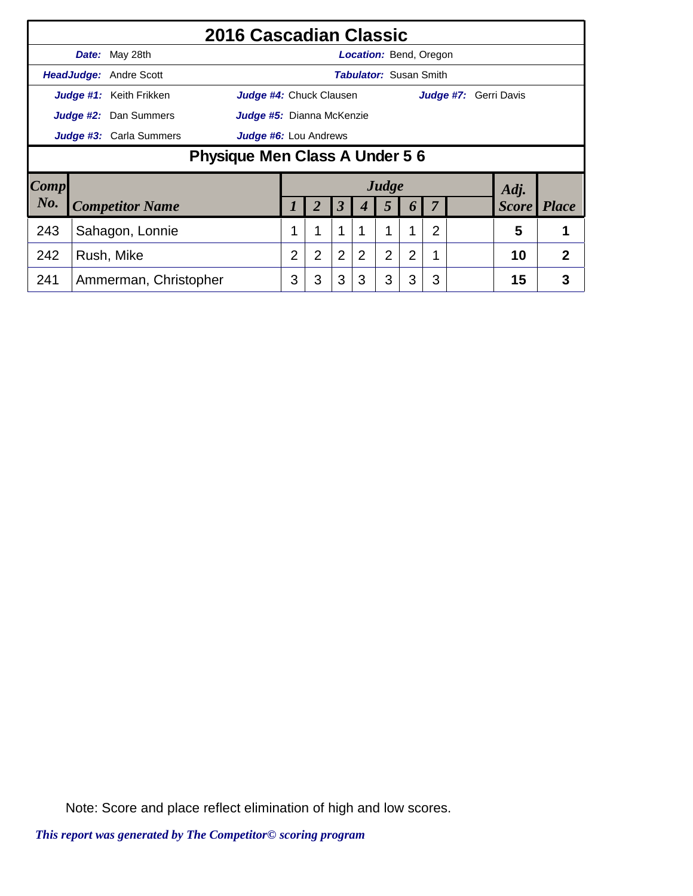|                                                    | 2016 Cascadian Classic         |                        |  |                                                                |   |                              |   |                |          |                |  |              |                |  |  |  |
|----------------------------------------------------|--------------------------------|------------------------|--|----------------------------------------------------------------|---|------------------------------|---|----------------|----------|----------------|--|--------------|----------------|--|--|--|
|                                                    |                                | Date: May 28th         |  | <b>Location: Bend, Oregon</b>                                  |   |                              |   |                |          |                |  |              |                |  |  |  |
| <b>HeadJudge: Andre Scott</b>                      |                                |                        |  | <b>Tabulator: Susan Smith</b>                                  |   |                              |   |                |          |                |  |              |                |  |  |  |
| <b>Judge #1:</b> Keith Frikken                     |                                |                        |  | <b>Judge #4:</b> Chuck Clausen<br><b>Judge #7:</b> Gerri Davis |   |                              |   |                |          |                |  |              |                |  |  |  |
| Judge #2: Dan Summers<br>Judge #5: Dianna McKenzie |                                |                        |  |                                                                |   |                              |   |                |          |                |  |              |                |  |  |  |
|                                                    | <b>Judge #3:</b> Carla Summers |                        |  |                                                                |   | <b>Judge #6:</b> Lou Andrews |   |                |          |                |  |              |                |  |  |  |
|                                                    | Physique Men Class A Under 5 6 |                        |  |                                                                |   |                              |   |                |          |                |  |              |                |  |  |  |
| $\lfloor Comp \rfloor$                             |                                |                        |  |                                                                |   |                              |   | Judge          |          |                |  | Adj.         |                |  |  |  |
| No.                                                |                                | <b>Competitor Name</b> |  |                                                                |   | $\boldsymbol{\beta}$         |   | 5              | $\bm{b}$ |                |  | <b>Score</b> | <b>Place</b>   |  |  |  |
| 243                                                |                                | Sahagon, Lonnie        |  |                                                                | 1 | 1                            |   |                |          | $\overline{2}$ |  | 5            | 1              |  |  |  |
| 242                                                | Rush, Mike                     |                        |  | $\overline{2}$                                                 | 2 | 2                            | 2 | $\overline{2}$ | 2        | 1              |  | 10           | $\overline{2}$ |  |  |  |
| 241                                                | Ammerman, Christopher          |                        |  |                                                                | 3 | 3                            | 3 | 3              | 3        | 3              |  | 15           | 3              |  |  |  |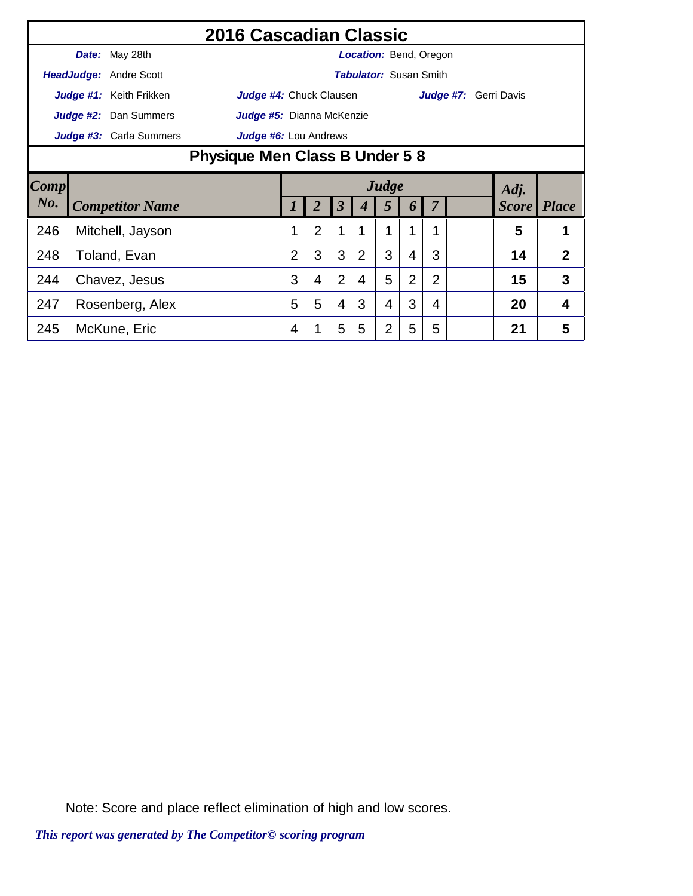|                              |                                | 2016 Cascadian Classic  |                              |                               |                         |                |                |                               |                |   |  |                       |                |  |
|------------------------------|--------------------------------|-------------------------|------------------------------|-------------------------------|-------------------------|----------------|----------------|-------------------------------|----------------|---|--|-----------------------|----------------|--|
|                              |                                | Date: May 28th          |                              |                               |                         |                |                | <b>Location: Bend, Oregon</b> |                |   |  |                       |                |  |
|                              |                                | HeadJudge: Andre Scott  |                              | <b>Tabulator: Susan Smith</b> |                         |                |                |                               |                |   |  |                       |                |  |
| Judge #1: Keith Frikken      |                                |                         |                              |                               | Judge #4: Chuck Clausen |                |                |                               |                |   |  | Judge #7: Gerri Davis |                |  |
| <b>Judge #2:</b> Dan Summers |                                |                         |                              | Judge #5: Dianna McKenzie     |                         |                |                |                               |                |   |  |                       |                |  |
|                              |                                | Judge #3: Carla Summers | <b>Judge #6:</b> Lou Andrews |                               |                         |                |                |                               |                |   |  |                       |                |  |
|                              | Physique Men Class B Under 5 8 |                         |                              |                               |                         |                |                |                               |                |   |  |                       |                |  |
| Comp                         |                                |                         | Judge<br>Adj.                |                               |                         |                |                |                               |                |   |  |                       |                |  |
|                              |                                |                         |                              |                               |                         |                |                |                               |                |   |  |                       |                |  |
| $N_{0}$ .                    |                                | <b>Competitor Name</b>  |                              |                               |                         | 3              |                | 5                             | 6              |   |  | <b>Score</b>          | <b>Place</b>   |  |
| 246                          |                                | Mitchell, Jayson        |                              |                               | $\overline{2}$          | 1              |                |                               |                |   |  | 5                     |                |  |
| 248                          |                                | Toland, Evan            |                              | $\overline{2}$                | 3                       | 3              | $\overline{2}$ | 3                             | 4              | 3 |  | 14                    | $\overline{2}$ |  |
| 244                          |                                | Chavez, Jesus           |                              | 3                             | 4                       | $\overline{2}$ | 4              | 5                             | $\overline{2}$ | 2 |  | 15                    | 3              |  |
| 247                          |                                | Rosenberg, Alex         |                              | 5                             | 5                       | $\overline{4}$ | 3              | 4                             | 3              | 4 |  | 20                    | 4              |  |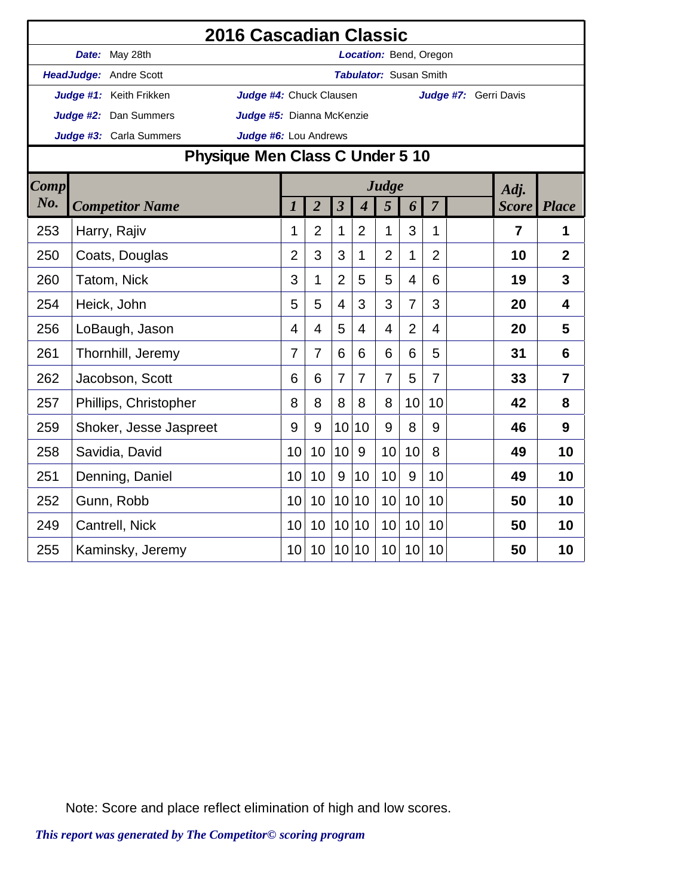|                         | 2016 Cascadian Classic          |                         |                         |                           |                       |                         |                             |                               |                |                |  |                |                |  |  |  |
|-------------------------|---------------------------------|-------------------------|-------------------------|---------------------------|-----------------------|-------------------------|-----------------------------|-------------------------------|----------------|----------------|--|----------------|----------------|--|--|--|
|                         |                                 | Date: May 28th          |                         |                           |                       |                         |                             | Location: Bend, Oregon        |                |                |  |                |                |  |  |  |
|                         |                                 | HeadJudge: Andre Scott  |                         |                           |                       |                         |                             | <b>Tabulator: Susan Smith</b> |                |                |  |                |                |  |  |  |
|                         |                                 | Judge #1: Keith Frikken | Judge #4: Chuck Clausen |                           | Judge #7: Gerri Davis |                         |                             |                               |                |                |  |                |                |  |  |  |
|                         |                                 | Judge #2: Dan Summers   |                         | Judge #5: Dianna McKenzie |                       |                         |                             |                               |                |                |  |                |                |  |  |  |
| Judge #3: Carla Summers |                                 |                         |                         |                           | Judge #6: Lou Andrews |                         |                             |                               |                |                |  |                |                |  |  |  |
|                         | Physique Men Class C Under 5 10 |                         |                         |                           |                       |                         |                             |                               |                |                |  |                |                |  |  |  |
| <b>Comp</b>             |                                 |                         |                         |                           | Judge                 |                         |                             |                               | Adj.           |                |  |                |                |  |  |  |
| $N0$ .                  | <b>Competitor Name</b>          |                         |                         |                           | $\overline{2}$        | $\overline{\mathbf{3}}$ | $\overline{\boldsymbol{4}}$ | 5                             | 6              | $\overline{7}$ |  | <b>Score</b>   | <b>Place</b>   |  |  |  |
| 253                     |                                 | Harry, Rajiv            |                         | 1                         | $\overline{2}$        | 1                       | $\overline{2}$              | 1                             | 3              | 1              |  | $\overline{7}$ | 1              |  |  |  |
| 250                     |                                 | Coats, Douglas          |                         | $\overline{2}$            | 3                     | 3                       | 1                           | $\overline{2}$                | 1              | $\overline{2}$ |  | 10             | $\overline{2}$ |  |  |  |
| 260                     |                                 | Tatom, Nick             |                         | 3                         | 1                     | $\overline{2}$          | 5                           | 5                             | $\overline{4}$ | 6              |  | 19             | 3              |  |  |  |
| 254                     |                                 | Heick, John             |                         | 5                         | 5                     | $\overline{4}$          | 3                           | 3                             | $\overline{7}$ | 3              |  | 20             | $\overline{4}$ |  |  |  |
| 256                     |                                 | LoBaugh, Jason          |                         | 4                         | $\overline{4}$        | 5                       | 4                           | $\overline{4}$                | $\overline{2}$ | $\overline{4}$ |  | 20             | 5              |  |  |  |
| 261                     |                                 | Thornhill, Jeremy       |                         | 7                         | 7                     | 6                       | 6                           | 6                             | 6              | 5              |  | 31             | 6              |  |  |  |
| 262                     |                                 | Jacobson, Scott         |                         | 6                         | 6                     | $\overline{7}$          | $\overline{7}$              | $\overline{7}$                | 5              | $\overline{7}$ |  | 33             | $\overline{7}$ |  |  |  |
| 257                     |                                 | Phillips, Christopher   |                         | 8                         | 8                     | 8                       | 8                           | 8                             | 10             | 10             |  | 42             | 8              |  |  |  |
| 259                     |                                 | Shoker, Jesse Jaspreet  |                         | 9                         | 9                     | 10                      | 10                          | 9                             | 8              | 9              |  | 46             | 9              |  |  |  |
| 258                     |                                 | Savidia, David          |                         | 10                        | 10                    | 10                      | $9\,$                       | 10                            | 10             | 8              |  | 49             | 10             |  |  |  |
| 251                     |                                 | Denning, Daniel         |                         | 10                        | 10                    | 9                       | 10                          | 10                            | 9              | 10             |  | 49             | 10             |  |  |  |
| 252                     |                                 | Gunn, Robb              |                         | 10                        | 10                    | 10                      | 10                          | 10                            | 10             | 10             |  | 50             | 10             |  |  |  |
| 249                     |                                 | Cantrell, Nick          |                         | 10                        | 10                    | 10                      | 10                          | 10                            | 10             | 10             |  | 50             | 10             |  |  |  |
| 255                     |                                 | Kaminsky, Jeremy        |                         | 10                        | 10                    |                         | 10 10                       | 10                            | 10             | 10             |  | 50             | 10             |  |  |  |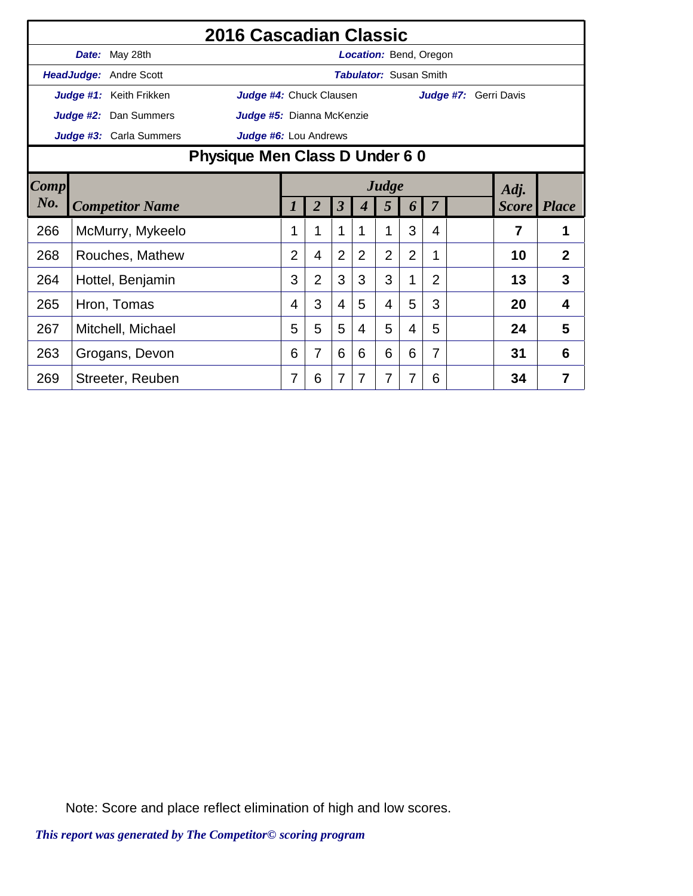|                                                    | 2016 Cascadian Classic         |                        |  |                               |                       |                         |                |                |                |                |                       |              |                |  |  |
|----------------------------------------------------|--------------------------------|------------------------|--|-------------------------------|-----------------------|-------------------------|----------------|----------------|----------------|----------------|-----------------------|--------------|----------------|--|--|
|                                                    |                                | Date: May 28th         |  | <b>Location: Bend, Oregon</b> |                       |                         |                |                |                |                |                       |              |                |  |  |
|                                                    |                                | HeadJudge: Andre Scott |  | <b>Tabulator: Susan Smith</b> |                       |                         |                |                |                |                |                       |              |                |  |  |
| Judge #1: Keith Frikken<br>Judge #4: Chuck Clausen |                                |                        |  |                               |                       |                         |                |                |                |                | Judge #7: Gerri Davis |              |                |  |  |
| <b>Judge #2:</b> Dan Summers                       |                                |                        |  | Judge #5: Dianna McKenzie     |                       |                         |                |                |                |                |                       |              |                |  |  |
| Judge #3: Carla Summers                            |                                |                        |  |                               | Judge #6: Lou Andrews |                         |                |                |                |                |                       |              |                |  |  |
|                                                    | Physique Men Class D Under 6 0 |                        |  |                               |                       |                         |                |                |                |                |                       |              |                |  |  |
| Comp                                               |                                |                        |  |                               |                       |                         |                | Judge          |                |                |                       | Adj.         |                |  |  |
| $N_{0}$ .                                          |                                | <b>Competitor Name</b> |  | $\prime$                      | $\overline{2}$        | $\overline{\mathbf{3}}$ | 4              | 5              | 6              | $\overline{7}$ |                       | <b>Score</b> | <b>Place</b>   |  |  |
| 266                                                |                                | McMurry, Mykeelo       |  |                               | 1                     | 1                       |                | 1              | 3              | 4              |                       | 7            | 1              |  |  |
| 268                                                |                                | Rouches, Mathew        |  | $\overline{2}$                | 4                     | $\overline{2}$          | $\overline{2}$ | $\overline{2}$ | $\overline{2}$ | 1              |                       | 10           | $\overline{2}$ |  |  |
| 264                                                |                                | Hottel, Benjamin       |  | 3                             | $\overline{2}$        | 3                       | 3              | 3              | 1              | $\overline{2}$ |                       | 13           | 3              |  |  |
| 265                                                |                                | Hron, Tomas            |  | 4                             | 3                     | $\overline{4}$          | 5              | 4              | 5              | 3              |                       | 20           | 4              |  |  |
| 267                                                |                                | Mitchell, Michael      |  | 5                             | 5                     | 5                       | 4              | 5              | 4              | 5              |                       | 24           | 5              |  |  |
| 263                                                |                                | Grogans, Devon         |  | 6                             | 7                     | 6                       | 6              | 6              | 6              | 7              |                       | 31           | 6              |  |  |
| 269                                                |                                | Streeter, Reuben       |  | 7                             | 6                     | 7                       |                | 7              | 7              | 6              |                       | 34           | 7              |  |  |